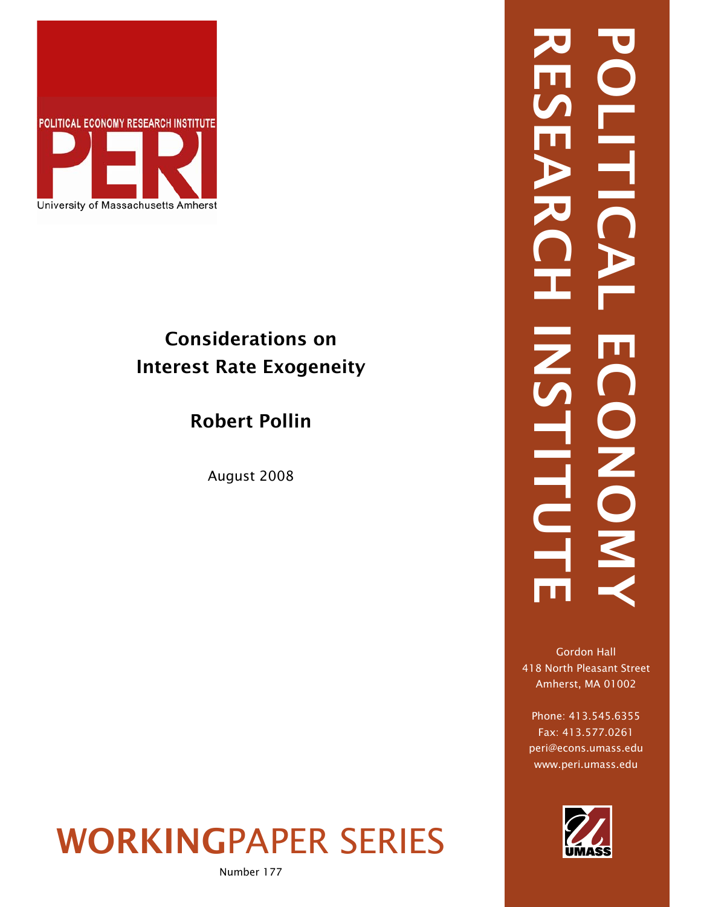

# Considerations on Interest Rate Exogeneity

# Robert Pollin

August 2008

# WORKINGPAPER SERIES

Number 177

RESEARCH INSTITUTE POLITICAL ECONOMY OLITI INSTITUTO  $\mathbb{Z}$ **CONOM** 

Gordon Hall 418 North Pleasant Street Amherst, MA 01002

Phone: 413.545.6355 Fax: 413.577.0261 peri@econs.umass.edu www.peri.umass.edu

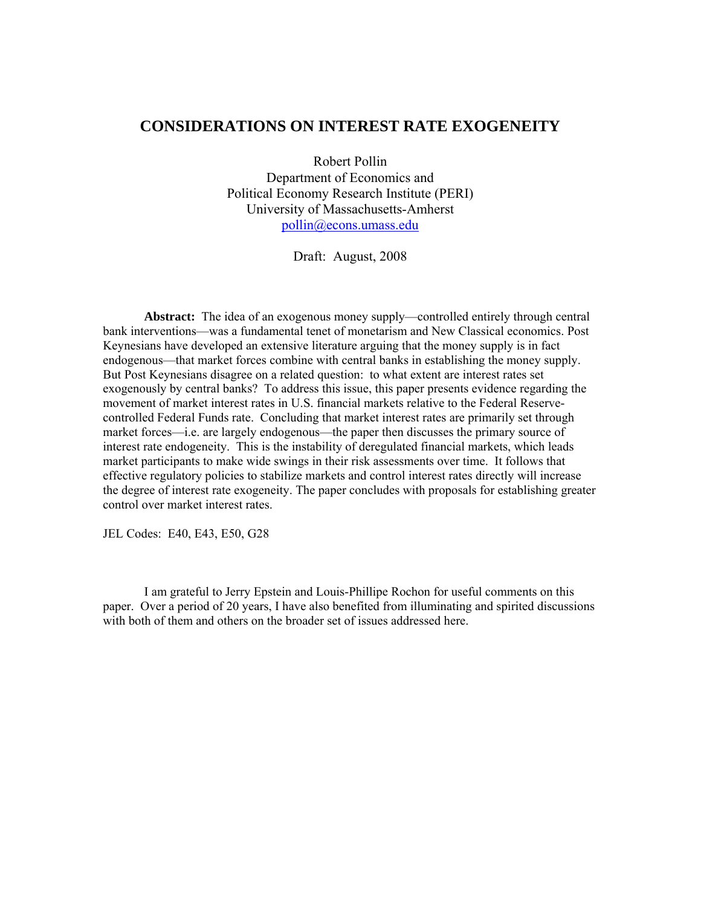#### **CONSIDERATIONS ON INTEREST RATE EXOGENEITY**

Robert Pollin Department of Economics and Political Economy Research Institute (PERI) University of Massachusetts-Amherst [pollin@econs.umass.edu](mailto:pollin@econs.umass.edu)

Draft: August, 2008

**Abstract:** The idea of an exogenous money supply—controlled entirely through central bank interventions—was a fundamental tenet of monetarism and New Classical economics. Post Keynesians have developed an extensive literature arguing that the money supply is in fact endogenous—that market forces combine with central banks in establishing the money supply. But Post Keynesians disagree on a related question: to what extent are interest rates set exogenously by central banks? To address this issue, this paper presents evidence regarding the movement of market interest rates in U.S. financial markets relative to the Federal Reservecontrolled Federal Funds rate. Concluding that market interest rates are primarily set through market forces—i.e. are largely endogenous—the paper then discusses the primary source of interest rate endogeneity. This is the instability of deregulated financial markets, which leads market participants to make wide swings in their risk assessments over time. It follows that effective regulatory policies to stabilize markets and control interest rates directly will increase the degree of interest rate exogeneity. The paper concludes with proposals for establishing greater control over market interest rates.

JEL Codes: E40, E43, E50, G28

I am grateful to Jerry Epstein and Louis-Phillipe Rochon for useful comments on this paper. Over a period of 20 years, I have also benefited from illuminating and spirited discussions with both of them and others on the broader set of issues addressed here.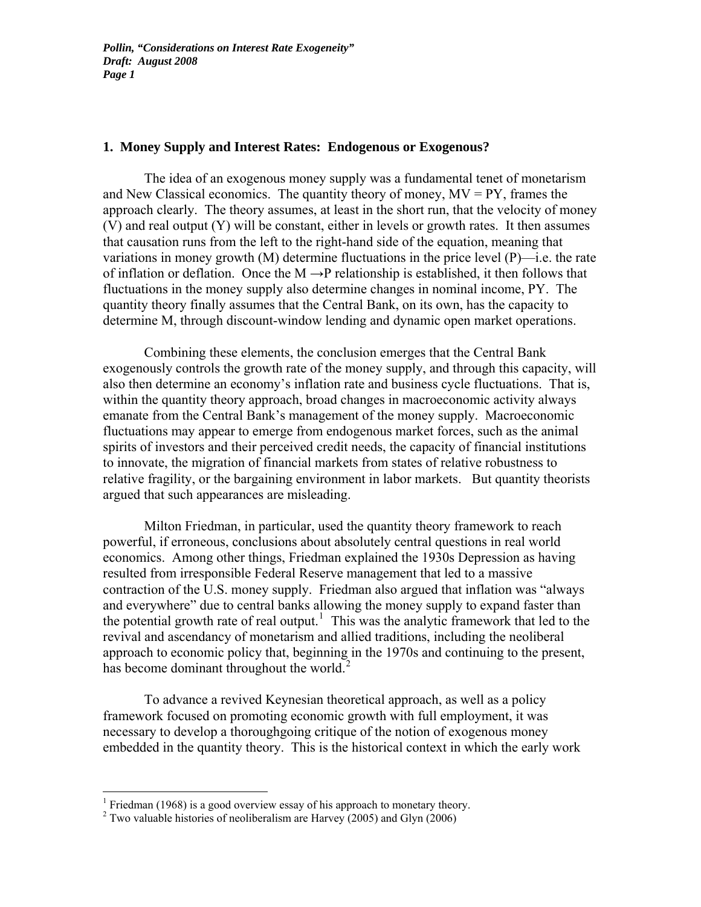#### **1. Money Supply and Interest Rates: Endogenous or Exogenous?**

The idea of an exogenous money supply was a fundamental tenet of monetarism and New Classical economics. The quantity theory of money,  $MV = PY$ , frames the approach clearly. The theory assumes, at least in the short run, that the velocity of money (V) and real output (Y) will be constant, either in levels or growth rates. It then assumes that causation runs from the left to the right-hand side of the equation, meaning that variations in money growth  $(M)$  determine fluctuations in the price level  $(P)$ —i.e. the rate of inflation or deflation. Once the  $M \rightarrow P$  relationship is established, it then follows that fluctuations in the money supply also determine changes in nominal income, PY. The quantity theory finally assumes that the Central Bank, on its own, has the capacity to determine M, through discount-window lending and dynamic open market operations.

 Combining these elements, the conclusion emerges that the Central Bank exogenously controls the growth rate of the money supply, and through this capacity, will also then determine an economy's inflation rate and business cycle fluctuations. That is, within the quantity theory approach, broad changes in macroeconomic activity always emanate from the Central Bank's management of the money supply. Macroeconomic fluctuations may appear to emerge from endogenous market forces, such as the animal spirits of investors and their perceived credit needs, the capacity of financial institutions to innovate, the migration of financial markets from states of relative robustness to relative fragility, or the bargaining environment in labor markets. But quantity theorists argued that such appearances are misleading.

 Milton Friedman, in particular, used the quantity theory framework to reach powerful, if erroneous, conclusions about absolutely central questions in real world economics. Among other things, Friedman explained the 1930s Depression as having resulted from irresponsible Federal Reserve management that led to a massive contraction of the U.S. money supply. Friedman also argued that inflation was "always and everywhere" due to central banks allowing the money supply to expand faster than the potential growth rate of real output.<sup>[1](#page-2-0)</sup> This was the analytic framework that led to the revival and ascendancy of monetarism and allied traditions, including the neoliberal approach to economic policy that, beginning in the 1970s and continuing to the present, has become dominant throughout the world.<sup>[2](#page-2-1)</sup>

 To advance a revived Keynesian theoretical approach, as well as a policy framework focused on promoting economic growth with full employment, it was necessary to develop a thoroughgoing critique of the notion of exogenous money embedded in the quantity theory. This is the historical context in which the early work

<sup>&</sup>lt;sup>1</sup> Friedman (1968) is a good overview essay of his approach to monetary theory.

<span id="page-2-1"></span><span id="page-2-0"></span><sup>&</sup>lt;sup>2</sup> Two valuable histories of neoliberalism are Harvey (2005) and Glyn (2006)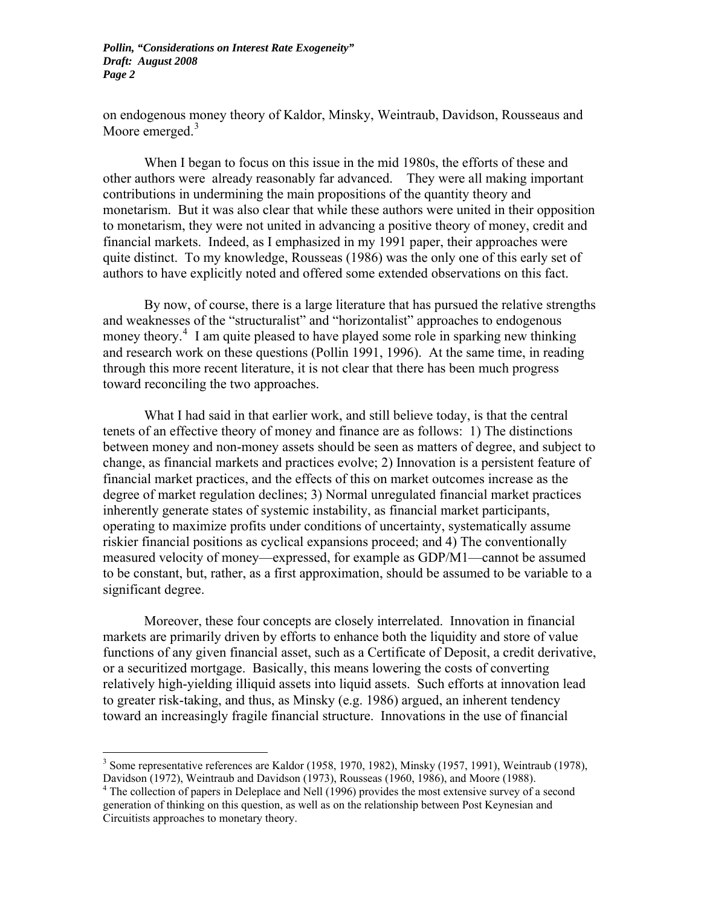on endogenous money theory of Kaldor, Minsky, Weintraub, Davidson, Rousseaus and Moore emerged.<sup>[3](#page-3-0)</sup>

 When I began to focus on this issue in the mid 1980s, the efforts of these and other authors were already reasonably far advanced. They were all making important contributions in undermining the main propositions of the quantity theory and monetarism. But it was also clear that while these authors were united in their opposition to monetarism, they were not united in advancing a positive theory of money, credit and financial markets. Indeed, as I emphasized in my 1991 paper, their approaches were quite distinct. To my knowledge, Rousseas (1986) was the only one of this early set of authors to have explicitly noted and offered some extended observations on this fact.

 By now, of course, there is a large literature that has pursued the relative strengths and weaknesses of the "structuralist" and "horizontalist" approaches to endogenous money theory.<sup>[4](#page-3-1)</sup> I am quite pleased to have played some role in sparking new thinking and research work on these questions (Pollin 1991, 1996). At the same time, in reading through this more recent literature, it is not clear that there has been much progress toward reconciling the two approaches.

What I had said in that earlier work, and still believe today, is that the central tenets of an effective theory of money and finance are as follows: 1) The distinctions between money and non-money assets should be seen as matters of degree, and subject to change, as financial markets and practices evolve; 2) Innovation is a persistent feature of financial market practices, and the effects of this on market outcomes increase as the degree of market regulation declines; 3) Normal unregulated financial market practices inherently generate states of systemic instability, as financial market participants, operating to maximize profits under conditions of uncertainty, systematically assume riskier financial positions as cyclical expansions proceed; and 4) The conventionally measured velocity of money—expressed, for example as GDP/M1—cannot be assumed to be constant, but, rather, as a first approximation, should be assumed to be variable to a significant degree.

Moreover, these four concepts are closely interrelated. Innovation in financial markets are primarily driven by efforts to enhance both the liquidity and store of value functions of any given financial asset, such as a Certificate of Deposit, a credit derivative, or a securitized mortgage. Basically, this means lowering the costs of converting relatively high-yielding illiquid assets into liquid assets. Such efforts at innovation lead to greater risk-taking, and thus, as Minsky (e.g. 1986) argued, an inherent tendency toward an increasingly fragile financial structure. Innovations in the use of financial

<span id="page-3-0"></span><sup>&</sup>lt;sup>3</sup> Some representative references are Kaldor (1958, 1970, 1982), Minsky (1957, 1991), Weintraub (1978), Davidson (1972), Weintraub and Davidson (1973), Rousseas (1960, 1986), and Moore (1988).

<span id="page-3-1"></span><sup>&</sup>lt;sup>4</sup> The collection of papers in Deleplace and Nell (1996) provides the most extensive survey of a second generation of thinking on this question, as well as on the relationship between Post Keynesian and Circuitists approaches to monetary theory.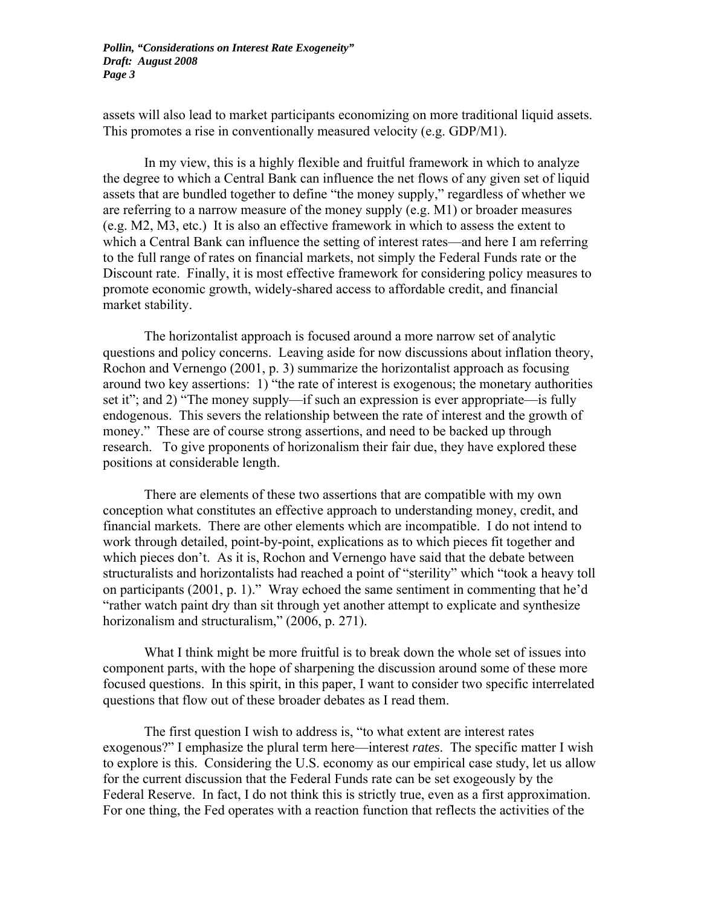assets will also lead to market participants economizing on more traditional liquid assets. This promotes a rise in conventionally measured velocity (e.g. GDP/M1).

In my view, this is a highly flexible and fruitful framework in which to analyze the degree to which a Central Bank can influence the net flows of any given set of liquid assets that are bundled together to define "the money supply," regardless of whether we are referring to a narrow measure of the money supply (e.g. M1) or broader measures (e.g. M2, M3, etc.) It is also an effective framework in which to assess the extent to which a Central Bank can influence the setting of interest rates—and here I am referring to the full range of rates on financial markets, not simply the Federal Funds rate or the Discount rate. Finally, it is most effective framework for considering policy measures to promote economic growth, widely-shared access to affordable credit, and financial market stability.

The horizontalist approach is focused around a more narrow set of analytic questions and policy concerns. Leaving aside for now discussions about inflation theory, Rochon and Vernengo (2001, p. 3) summarize the horizontalist approach as focusing around two key assertions: 1) "the rate of interest is exogenous; the monetary authorities set it"; and 2) "The money supply—if such an expression is ever appropriate—is fully endogenous. This severs the relationship between the rate of interest and the growth of money." These are of course strong assertions, and need to be backed up through research. To give proponents of horizonalism their fair due, they have explored these positions at considerable length.

 There are elements of these two assertions that are compatible with my own conception what constitutes an effective approach to understanding money, credit, and financial markets. There are other elements which are incompatible. I do not intend to work through detailed, point-by-point, explications as to which pieces fit together and which pieces don't. As it is, Rochon and Vernengo have said that the debate between structuralists and horizontalists had reached a point of "sterility" which "took a heavy toll on participants (2001, p. 1)." Wray echoed the same sentiment in commenting that he'd "rather watch paint dry than sit through yet another attempt to explicate and synthesize horizonalism and structuralism," (2006, p. 271).

What I think might be more fruitful is to break down the whole set of issues into component parts, with the hope of sharpening the discussion around some of these more focused questions. In this spirit, in this paper, I want to consider two specific interrelated questions that flow out of these broader debates as I read them.

 The first question I wish to address is, "to what extent are interest rates exogenous?" I emphasize the plural term here—interest *rates*. The specific matter I wish to explore is this. Considering the U.S. economy as our empirical case study, let us allow for the current discussion that the Federal Funds rate can be set exogeously by the Federal Reserve. In fact, I do not think this is strictly true, even as a first approximation. For one thing, the Fed operates with a reaction function that reflects the activities of the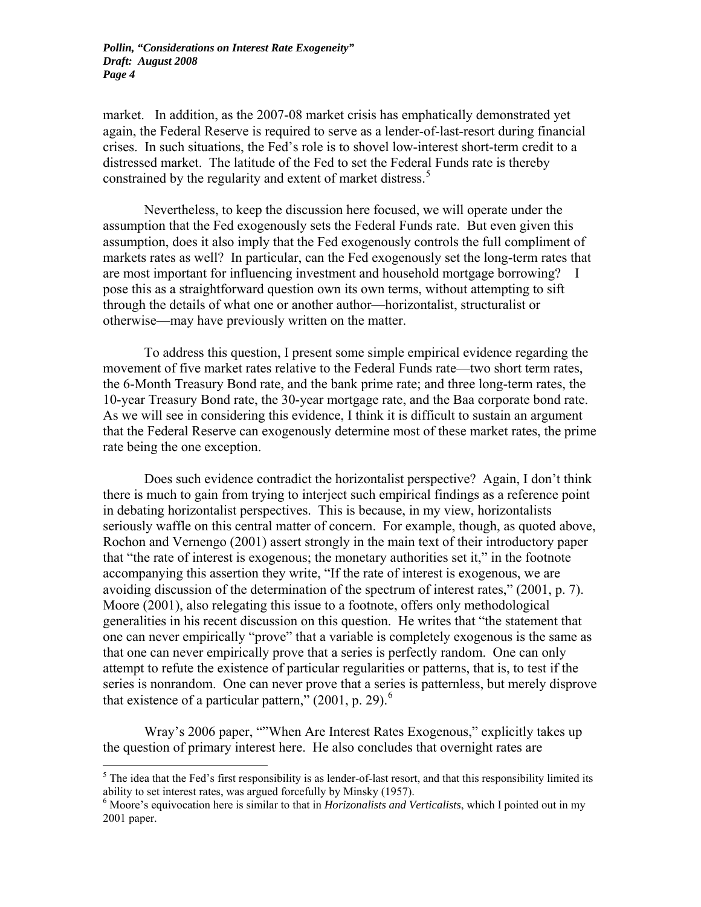market. In addition, as the 2007-08 market crisis has emphatically demonstrated yet again, the Federal Reserve is required to serve as a lender-of-last-resort during financial crises. In such situations, the Fed's role is to shovel low-interest short-term credit to a distressed market. The latitude of the Fed to set the Federal Funds rate is thereby constrained by the regularity and extent of market distress.<sup>[5](#page-5-0)</sup>

 Nevertheless, to keep the discussion here focused, we will operate under the assumption that the Fed exogenously sets the Federal Funds rate. But even given this assumption, does it also imply that the Fed exogenously controls the full compliment of markets rates as well? In particular, can the Fed exogenously set the long-term rates that are most important for influencing investment and household mortgage borrowing? I pose this as a straightforward question own its own terms, without attempting to sift through the details of what one or another author—horizontalist, structuralist or otherwise—may have previously written on the matter.

 To address this question, I present some simple empirical evidence regarding the movement of five market rates relative to the Federal Funds rate—two short term rates, the 6-Month Treasury Bond rate, and the bank prime rate; and three long-term rates, the 10-year Treasury Bond rate, the 30-year mortgage rate, and the Baa corporate bond rate. As we will see in considering this evidence, I think it is difficult to sustain an argument that the Federal Reserve can exogenously determine most of these market rates, the prime rate being the one exception.

Does such evidence contradict the horizontalist perspective? Again, I don't think there is much to gain from trying to interject such empirical findings as a reference point in debating horizontalist perspectives. This is because, in my view, horizontalists seriously waffle on this central matter of concern. For example, though, as quoted above, Rochon and Vernengo (2001) assert strongly in the main text of their introductory paper that "the rate of interest is exogenous; the monetary authorities set it," in the footnote accompanying this assertion they write, "If the rate of interest is exogenous, we are avoiding discussion of the determination of the spectrum of interest rates," (2001, p. 7). Moore (2001), also relegating this issue to a footnote, offers only methodological generalities in his recent discussion on this question. He writes that "the statement that one can never empirically "prove" that a variable is completely exogenous is the same as that one can never empirically prove that a series is perfectly random. One can only attempt to refute the existence of particular regularities or patterns, that is, to test if the series is nonrandom. One can never prove that a series is patternless, but merely disprove that existence of a particular pattern,"  $(2001, p. 29)$ .<sup>[6](#page-5-1)</sup>

Wray's 2006 paper, ""When Are Interest Rates Exogenous," explicitly takes up the question of primary interest here. He also concludes that overnight rates are

<span id="page-5-0"></span> $<sup>5</sup>$  The idea that the Fed's first responsibility is as lender-of-last resort, and that this responsibility limited its</sup> ability to set interest rates, was argued forcefully by Minsky (1957).

<span id="page-5-1"></span><sup>&</sup>lt;sup>6</sup> Moore's equivocation here is similar to that in *Horizonalists and Verticalists*, which I pointed out in my 2001 paper.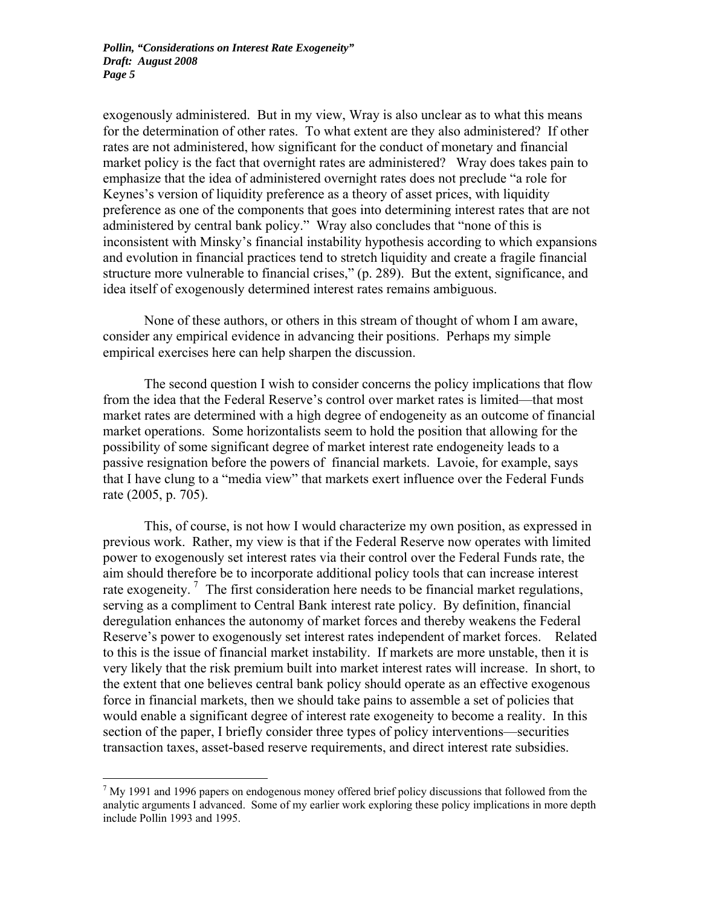exogenously administered. But in my view, Wray is also unclear as to what this means for the determination of other rates. To what extent are they also administered? If other rates are not administered, how significant for the conduct of monetary and financial market policy is the fact that overnight rates are administered? Wray does takes pain to emphasize that the idea of administered overnight rates does not preclude "a role for Keynes's version of liquidity preference as a theory of asset prices, with liquidity preference as one of the components that goes into determining interest rates that are not administered by central bank policy." Wray also concludes that "none of this is inconsistent with Minsky's financial instability hypothesis according to which expansions and evolution in financial practices tend to stretch liquidity and create a fragile financial structure more vulnerable to financial crises," (p. 289). But the extent, significance, and idea itself of exogenously determined interest rates remains ambiguous.

None of these authors, or others in this stream of thought of whom I am aware, consider any empirical evidence in advancing their positions. Perhaps my simple empirical exercises here can help sharpen the discussion.

 The second question I wish to consider concerns the policy implications that flow from the idea that the Federal Reserve's control over market rates is limited—that most market rates are determined with a high degree of endogeneity as an outcome of financial market operations. Some horizontalists seem to hold the position that allowing for the possibility of some significant degree of market interest rate endogeneity leads to a passive resignation before the powers of financial markets. Lavoie, for example, says that I have clung to a "media view" that markets exert influence over the Federal Funds rate (2005, p. 705).

This, of course, is not how I would characterize my own position, as expressed in previous work. Rather, my view is that if the Federal Reserve now operates with limited power to exogenously set interest rates via their control over the Federal Funds rate, the aim should therefore be to incorporate additional policy tools that can increase interest rate exogeneity.<sup>[7](#page-6-0)</sup> The first consideration here needs to be financial market regulations, serving as a compliment to Central Bank interest rate policy. By definition, financial deregulation enhances the autonomy of market forces and thereby weakens the Federal Reserve's power to exogenously set interest rates independent of market forces. Related to this is the issue of financial market instability. If markets are more unstable, then it is very likely that the risk premium built into market interest rates will increase. In short, to the extent that one believes central bank policy should operate as an effective exogenous force in financial markets, then we should take pains to assemble a set of policies that would enable a significant degree of interest rate exogeneity to become a reality. In this section of the paper, I briefly consider three types of policy interventions—securities transaction taxes, asset-based reserve requirements, and direct interest rate subsidies.

<span id="page-6-0"></span> $<sup>7</sup>$  My 1991 and 1996 papers on endogenous money offered brief policy discussions that followed from the</sup> analytic arguments I advanced. Some of my earlier work exploring these policy implications in more depth include Pollin 1993 and 1995.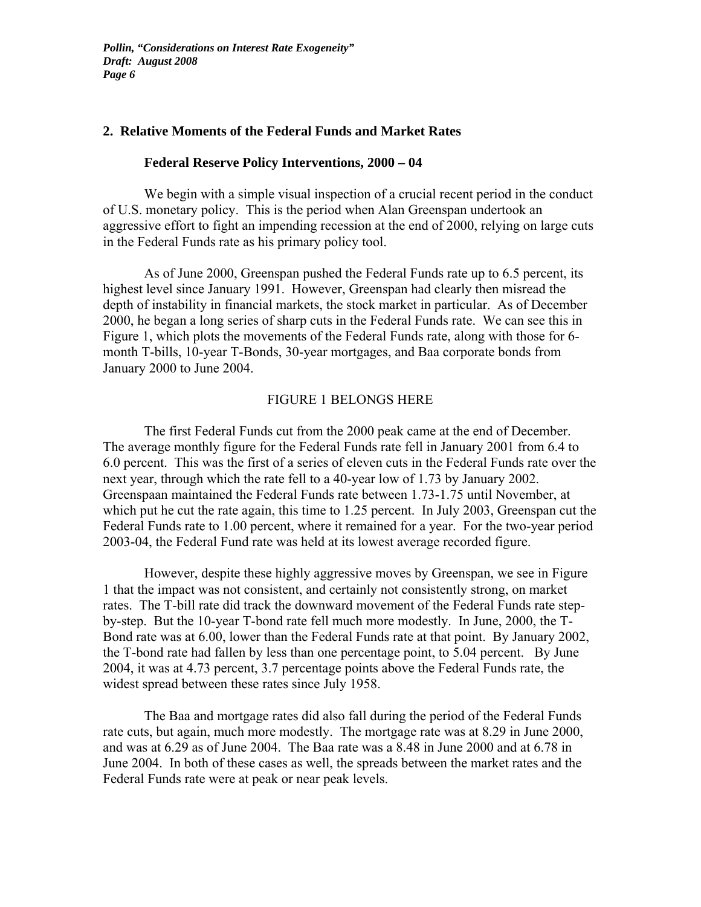#### **2. Relative Moments of the Federal Funds and Market Rates**

#### **Federal Reserve Policy Interventions, 2000 – 04**

 We begin with a simple visual inspection of a crucial recent period in the conduct of U.S. monetary policy. This is the period when Alan Greenspan undertook an aggressive effort to fight an impending recession at the end of 2000, relying on large cuts in the Federal Funds rate as his primary policy tool.

 As of June 2000, Greenspan pushed the Federal Funds rate up to 6.5 percent, its highest level since January 1991. However, Greenspan had clearly then misread the depth of instability in financial markets, the stock market in particular. As of December 2000, he began a long series of sharp cuts in the Federal Funds rate. We can see this in Figure 1, which plots the movements of the Federal Funds rate, along with those for 6 month T-bills, 10-year T-Bonds, 30-year mortgages, and Baa corporate bonds from January 2000 to June 2004.

#### FIGURE 1 BELONGS HERE

 The first Federal Funds cut from the 2000 peak came at the end of December. The average monthly figure for the Federal Funds rate fell in January 2001 from 6.4 to 6.0 percent. This was the first of a series of eleven cuts in the Federal Funds rate over the next year, through which the rate fell to a 40-year low of 1.73 by January 2002. Greenspaan maintained the Federal Funds rate between 1.73-1.75 until November, at which put he cut the rate again, this time to 1.25 percent. In July 2003, Greenspan cut the Federal Funds rate to 1.00 percent, where it remained for a year. For the two-year period 2003-04, the Federal Fund rate was held at its lowest average recorded figure.

 However, despite these highly aggressive moves by Greenspan, we see in Figure 1 that the impact was not consistent, and certainly not consistently strong, on market rates. The T-bill rate did track the downward movement of the Federal Funds rate stepby-step. But the 10-year T-bond rate fell much more modestly. In June, 2000, the T-Bond rate was at 6.00, lower than the Federal Funds rate at that point. By January 2002, the T-bond rate had fallen by less than one percentage point, to 5.04 percent. By June 2004, it was at 4.73 percent, 3.7 percentage points above the Federal Funds rate, the widest spread between these rates since July 1958.

 The Baa and mortgage rates did also fall during the period of the Federal Funds rate cuts, but again, much more modestly. The mortgage rate was at 8.29 in June 2000, and was at 6.29 as of June 2004. The Baa rate was a 8.48 in June 2000 and at 6.78 in June 2004. In both of these cases as well, the spreads between the market rates and the Federal Funds rate were at peak or near peak levels.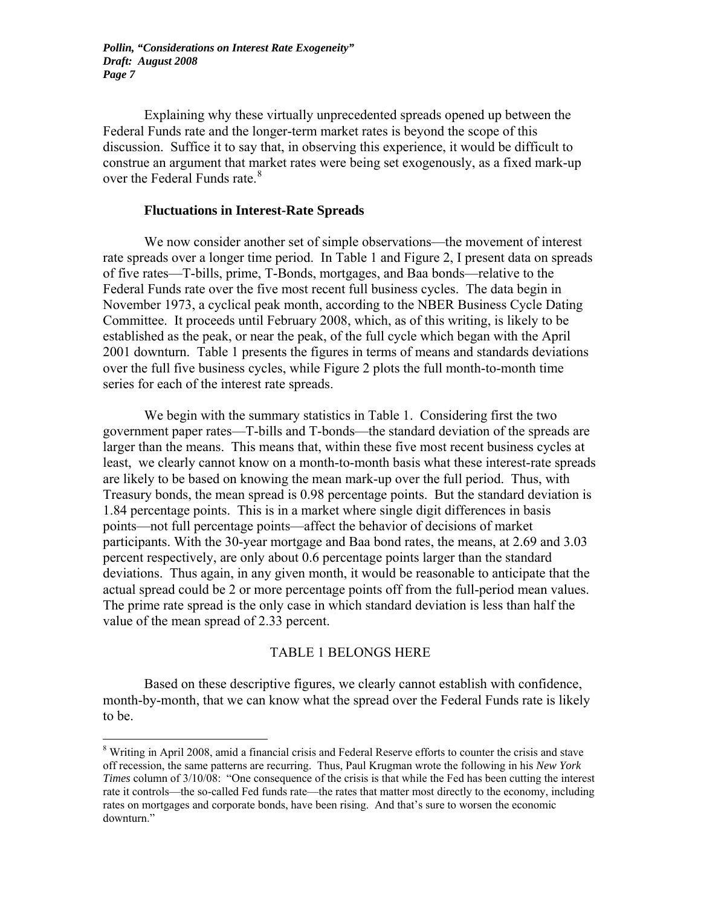Explaining why these virtually unprecedented spreads opened up between the Federal Funds rate and the longer-term market rates is beyond the scope of this discussion. Suffice it to say that, in observing this experience, it would be difficult to construe an argument that market rates were being set exogenously, as a fixed mark-up over the Federal Funds rate.<sup>[8](#page-8-0)</sup>

#### **Fluctuations in Interest-Rate Spreads**

 We now consider another set of simple observations—the movement of interest rate spreads over a longer time period. In Table 1 and Figure 2, I present data on spreads of five rates—T-bills, prime, T-Bonds, mortgages, and Baa bonds—relative to the Federal Funds rate over the five most recent full business cycles. The data begin in November 1973, a cyclical peak month, according to the NBER Business Cycle Dating Committee. It proceeds until February 2008, which, as of this writing, is likely to be established as the peak, or near the peak, of the full cycle which began with the April 2001 downturn. Table 1 presents the figures in terms of means and standards deviations over the full five business cycles, while Figure 2 plots the full month-to-month time series for each of the interest rate spreads.

 We begin with the summary statistics in Table 1. Considering first the two government paper rates—T-bills and T-bonds—the standard deviation of the spreads are larger than the means. This means that, within these five most recent business cycles at least, we clearly cannot know on a month-to-month basis what these interest-rate spreads are likely to be based on knowing the mean mark-up over the full period. Thus, with Treasury bonds, the mean spread is 0.98 percentage points. But the standard deviation is 1.84 percentage points. This is in a market where single digit differences in basis points—not full percentage points—affect the behavior of decisions of market participants. With the 30-year mortgage and Baa bond rates, the means, at 2.69 and 3.03 percent respectively, are only about 0.6 percentage points larger than the standard deviations. Thus again, in any given month, it would be reasonable to anticipate that the actual spread could be 2 or more percentage points off from the full-period mean values. The prime rate spread is the only case in which standard deviation is less than half the value of the mean spread of 2.33 percent.

#### TABLE 1 BELONGS HERE

Based on these descriptive figures, we clearly cannot establish with confidence, month-by-month, that we can know what the spread over the Federal Funds rate is likely to be.

<span id="page-8-0"></span><sup>&</sup>lt;sup>8</sup> Writing in April 2008, amid a financial crisis and Federal Reserve efforts to counter the crisis and stave off recession, the same patterns are recurring. Thus, Paul Krugman wrote the following in his *New York Times* column of 3/10/08: "One consequence of the crisis is that while the Fed has been cutting the interest rate it controls—the so-called Fed funds rate—the rates that matter most directly to the economy, including rates on mortgages and corporate bonds, have been rising. And that's sure to worsen the economic downturn."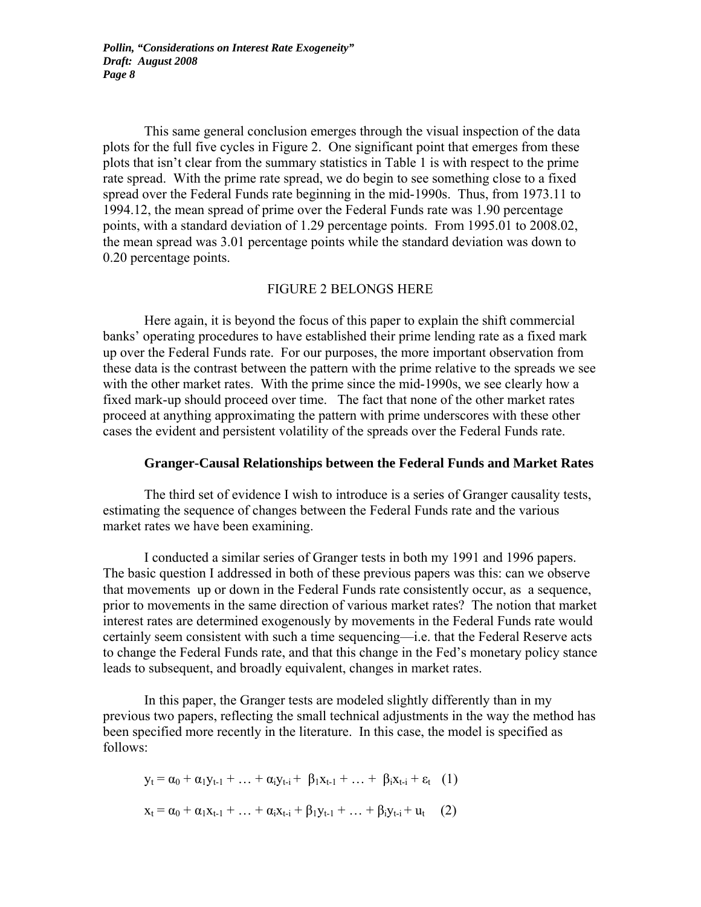This same general conclusion emerges through the visual inspection of the data plots for the full five cycles in Figure 2. One significant point that emerges from these plots that isn't clear from the summary statistics in Table 1 is with respect to the prime rate spread. With the prime rate spread, we do begin to see something close to a fixed spread over the Federal Funds rate beginning in the mid-1990s. Thus, from 1973.11 to 1994.12, the mean spread of prime over the Federal Funds rate was 1.90 percentage points, with a standard deviation of 1.29 percentage points. From 1995.01 to 2008.02, the mean spread was 3.01 percentage points while the standard deviation was down to 0.20 percentage points.

#### FIGURE 2 BELONGS HERE

 Here again, it is beyond the focus of this paper to explain the shift commercial banks' operating procedures to have established their prime lending rate as a fixed mark up over the Federal Funds rate. For our purposes, the more important observation from these data is the contrast between the pattern with the prime relative to the spreads we see with the other market rates. With the prime since the mid-1990s, we see clearly how a fixed mark-up should proceed over time. The fact that none of the other market rates proceed at anything approximating the pattern with prime underscores with these other cases the evident and persistent volatility of the spreads over the Federal Funds rate.

#### **Granger-Causal Relationships between the Federal Funds and Market Rates**

 The third set of evidence I wish to introduce is a series of Granger causality tests, estimating the sequence of changes between the Federal Funds rate and the various market rates we have been examining.

 I conducted a similar series of Granger tests in both my 1991 and 1996 papers. The basic question I addressed in both of these previous papers was this: can we observe that movements up or down in the Federal Funds rate consistently occur, as a sequence, prior to movements in the same direction of various market rates? The notion that market interest rates are determined exogenously by movements in the Federal Funds rate would certainly seem consistent with such a time sequencing—i.e. that the Federal Reserve acts to change the Federal Funds rate, and that this change in the Fed's monetary policy stance leads to subsequent, and broadly equivalent, changes in market rates.

 In this paper, the Granger tests are modeled slightly differently than in my previous two papers, reflecting the small technical adjustments in the way the method has been specified more recently in the literature. In this case, the model is specified as follows:

$$
y_{t} = \alpha_{0} + \alpha_{1}y_{t-1} + ... + \alpha_{i}y_{t-i} + \beta_{1}x_{t-1} + ... + \beta_{i}x_{t-i} + \varepsilon_{t} \quad (1)
$$

$$
x_{t} = \alpha_{0} + \alpha_{1}x_{t-1} + ... + \alpha_{i}x_{t-i} + \beta_{1}y_{t-1} + ... + \beta_{i}y_{t-i} + u_{t} \quad (2)
$$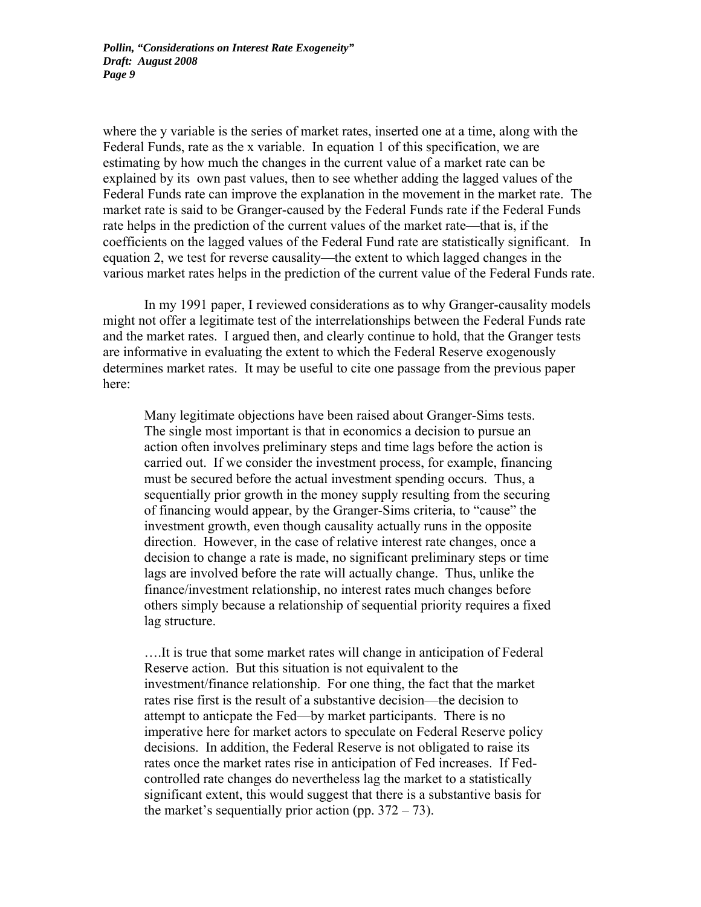where the y variable is the series of market rates, inserted one at a time, along with the Federal Funds, rate as the x variable. In equation 1 of this specification, we are estimating by how much the changes in the current value of a market rate can be explained by its own past values, then to see whether adding the lagged values of the Federal Funds rate can improve the explanation in the movement in the market rate. The market rate is said to be Granger-caused by the Federal Funds rate if the Federal Funds rate helps in the prediction of the current values of the market rate—that is, if the coefficients on the lagged values of the Federal Fund rate are statistically significant. In equation 2, we test for reverse causality—the extent to which lagged changes in the various market rates helps in the prediction of the current value of the Federal Funds rate.

 In my 1991 paper, I reviewed considerations as to why Granger-causality models might not offer a legitimate test of the interrelationships between the Federal Funds rate and the market rates. I argued then, and clearly continue to hold, that the Granger tests are informative in evaluating the extent to which the Federal Reserve exogenously determines market rates. It may be useful to cite one passage from the previous paper here:

Many legitimate objections have been raised about Granger-Sims tests. The single most important is that in economics a decision to pursue an action often involves preliminary steps and time lags before the action is carried out. If we consider the investment process, for example, financing must be secured before the actual investment spending occurs. Thus, a sequentially prior growth in the money supply resulting from the securing of financing would appear, by the Granger-Sims criteria, to "cause" the investment growth, even though causality actually runs in the opposite direction. However, in the case of relative interest rate changes, once a decision to change a rate is made, no significant preliminary steps or time lags are involved before the rate will actually change. Thus, unlike the finance/investment relationship, no interest rates much changes before others simply because a relationship of sequential priority requires a fixed lag structure.

….It is true that some market rates will change in anticipation of Federal Reserve action. But this situation is not equivalent to the investment/finance relationship. For one thing, the fact that the market rates rise first is the result of a substantive decision—the decision to attempt to anticpate the Fed—by market participants. There is no imperative here for market actors to speculate on Federal Reserve policy decisions. In addition, the Federal Reserve is not obligated to raise its rates once the market rates rise in anticipation of Fed increases. If Fedcontrolled rate changes do nevertheless lag the market to a statistically significant extent, this would suggest that there is a substantive basis for the market's sequentially prior action (pp.  $372 - 73$ ).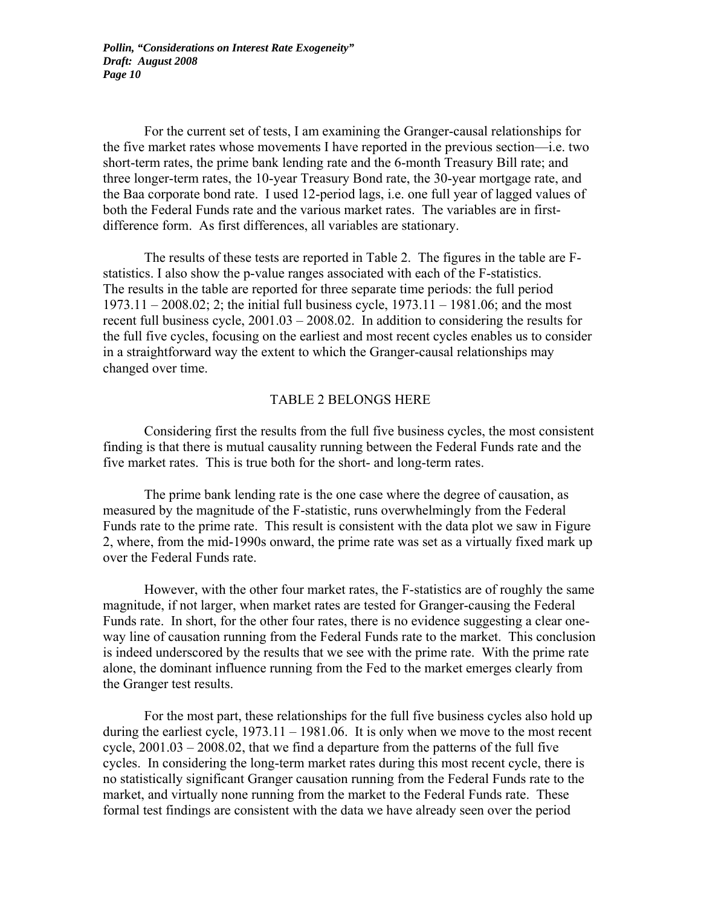For the current set of tests, I am examining the Granger-causal relationships for the five market rates whose movements I have reported in the previous section—i.e. two short-term rates, the prime bank lending rate and the 6-month Treasury Bill rate; and three longer-term rates, the 10-year Treasury Bond rate, the 30-year mortgage rate, and the Baa corporate bond rate. I used 12-period lags, i.e. one full year of lagged values of both the Federal Funds rate and the various market rates. The variables are in firstdifference form. As first differences, all variables are stationary.

 The results of these tests are reported in Table 2. The figures in the table are Fstatistics. I also show the p-value ranges associated with each of the F-statistics. The results in the table are reported for three separate time periods: the full period 1973.11 – 2008.02; 2; the initial full business cycle, 1973.11 – 1981.06; and the most recent full business cycle, 2001.03 – 2008.02. In addition to considering the results for the full five cycles, focusing on the earliest and most recent cycles enables us to consider in a straightforward way the extent to which the Granger-causal relationships may changed over time.

#### TABLE 2 BELONGS HERE

 Considering first the results from the full five business cycles, the most consistent finding is that there is mutual causality running between the Federal Funds rate and the five market rates. This is true both for the short- and long-term rates.

 The prime bank lending rate is the one case where the degree of causation, as measured by the magnitude of the F-statistic, runs overwhelmingly from the Federal Funds rate to the prime rate. This result is consistent with the data plot we saw in Figure 2, where, from the mid-1990s onward, the prime rate was set as a virtually fixed mark up over the Federal Funds rate.

 However, with the other four market rates, the F-statistics are of roughly the same magnitude, if not larger, when market rates are tested for Granger-causing the Federal Funds rate. In short, for the other four rates, there is no evidence suggesting a clear oneway line of causation running from the Federal Funds rate to the market. This conclusion is indeed underscored by the results that we see with the prime rate. With the prime rate alone, the dominant influence running from the Fed to the market emerges clearly from the Granger test results.

 For the most part, these relationships for the full five business cycles also hold up during the earliest cycle,  $1973.11 - 1981.06$ . It is only when we move to the most recent cycle, 2001.03 – 2008.02, that we find a departure from the patterns of the full five cycles. In considering the long-term market rates during this most recent cycle, there is no statistically significant Granger causation running from the Federal Funds rate to the market, and virtually none running from the market to the Federal Funds rate. These formal test findings are consistent with the data we have already seen over the period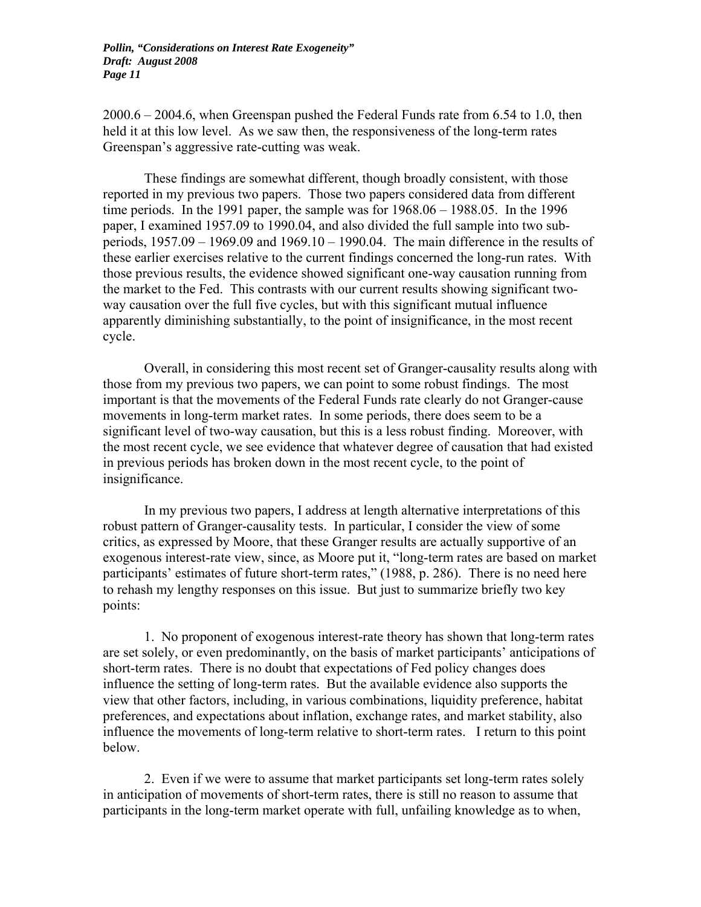2000.6 – 2004.6, when Greenspan pushed the Federal Funds rate from 6.54 to 1.0, then held it at this low level. As we saw then, the responsiveness of the long-term rates Greenspan's aggressive rate-cutting was weak.

 These findings are somewhat different, though broadly consistent, with those reported in my previous two papers. Those two papers considered data from different time periods. In the 1991 paper, the sample was for 1968.06 – 1988.05. In the 1996 paper, I examined 1957.09 to 1990.04, and also divided the full sample into two subperiods, 1957.09 – 1969.09 and 1969.10 – 1990.04. The main difference in the results of these earlier exercises relative to the current findings concerned the long-run rates. With those previous results, the evidence showed significant one-way causation running from the market to the Fed. This contrasts with our current results showing significant twoway causation over the full five cycles, but with this significant mutual influence apparently diminishing substantially, to the point of insignificance, in the most recent cycle.

 Overall, in considering this most recent set of Granger-causality results along with those from my previous two papers, we can point to some robust findings. The most important is that the movements of the Federal Funds rate clearly do not Granger-cause movements in long-term market rates. In some periods, there does seem to be a significant level of two-way causation, but this is a less robust finding. Moreover, with the most recent cycle, we see evidence that whatever degree of causation that had existed in previous periods has broken down in the most recent cycle, to the point of insignificance.

 In my previous two papers, I address at length alternative interpretations of this robust pattern of Granger-causality tests. In particular, I consider the view of some critics, as expressed by Moore, that these Granger results are actually supportive of an exogenous interest-rate view, since, as Moore put it, "long-term rates are based on market participants' estimates of future short-term rates," (1988, p. 286). There is no need here to rehash my lengthy responses on this issue. But just to summarize briefly two key points:

 1. No proponent of exogenous interest-rate theory has shown that long-term rates are set solely, or even predominantly, on the basis of market participants' anticipations of short-term rates. There is no doubt that expectations of Fed policy changes does influence the setting of long-term rates. But the available evidence also supports the view that other factors, including, in various combinations, liquidity preference, habitat preferences, and expectations about inflation, exchange rates, and market stability, also influence the movements of long-term relative to short-term rates. I return to this point below.

 2. Even if we were to assume that market participants set long-term rates solely in anticipation of movements of short-term rates, there is still no reason to assume that participants in the long-term market operate with full, unfailing knowledge as to when,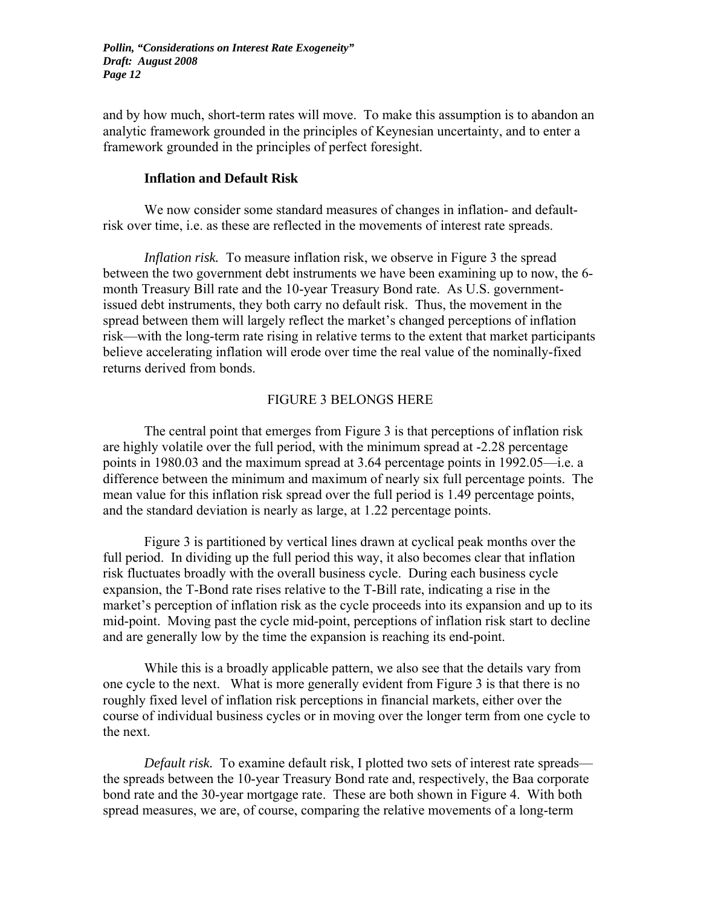and by how much, short-term rates will move. To make this assumption is to abandon an analytic framework grounded in the principles of Keynesian uncertainty, and to enter a framework grounded in the principles of perfect foresight.

#### **Inflation and Default Risk**

 We now consider some standard measures of changes in inflation- and defaultrisk over time, i.e. as these are reflected in the movements of interest rate spreads.

*Inflation risk.* To measure inflation risk, we observe in Figure 3 the spread between the two government debt instruments we have been examining up to now, the 6 month Treasury Bill rate and the 10-year Treasury Bond rate. As U.S. governmentissued debt instruments, they both carry no default risk. Thus, the movement in the spread between them will largely reflect the market's changed perceptions of inflation risk—with the long-term rate rising in relative terms to the extent that market participants believe accelerating inflation will erode over time the real value of the nominally-fixed returns derived from bonds.

#### FIGURE 3 BELONGS HERE

 The central point that emerges from Figure 3 is that perceptions of inflation risk are highly volatile over the full period, with the minimum spread at -2.28 percentage points in 1980.03 and the maximum spread at 3.64 percentage points in 1992.05—i.e. a difference between the minimum and maximum of nearly six full percentage points. The mean value for this inflation risk spread over the full period is 1.49 percentage points, and the standard deviation is nearly as large, at 1.22 percentage points.

 Figure 3 is partitioned by vertical lines drawn at cyclical peak months over the full period. In dividing up the full period this way, it also becomes clear that inflation risk fluctuates broadly with the overall business cycle. During each business cycle expansion, the T-Bond rate rises relative to the T-Bill rate, indicating a rise in the market's perception of inflation risk as the cycle proceeds into its expansion and up to its mid-point. Moving past the cycle mid-point, perceptions of inflation risk start to decline and are generally low by the time the expansion is reaching its end-point.

While this is a broadly applicable pattern, we also see that the details vary from one cycle to the next. What is more generally evident from Figure 3 is that there is no roughly fixed level of inflation risk perceptions in financial markets, either over the course of individual business cycles or in moving over the longer term from one cycle to the next.

*Default risk.* To examine default risk, I plotted two sets of interest rate spreads the spreads between the 10-year Treasury Bond rate and, respectively, the Baa corporate bond rate and the 30-year mortgage rate. These are both shown in Figure 4. With both spread measures, we are, of course, comparing the relative movements of a long-term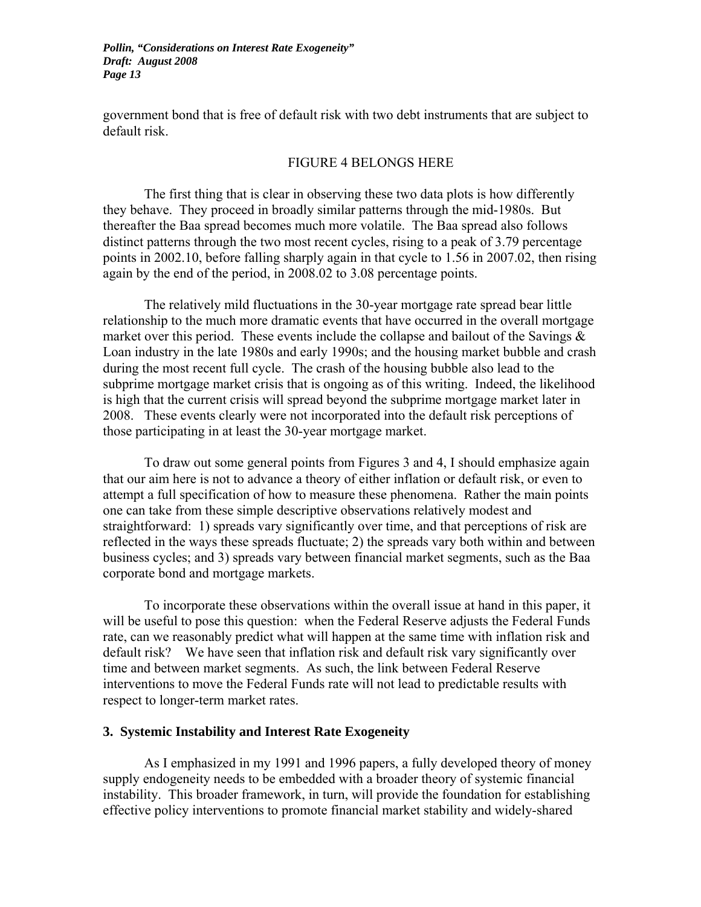government bond that is free of default risk with two debt instruments that are subject to default risk.

#### FIGURE 4 BELONGS HERE

The first thing that is clear in observing these two data plots is how differently they behave. They proceed in broadly similar patterns through the mid-1980s. But thereafter the Baa spread becomes much more volatile. The Baa spread also follows distinct patterns through the two most recent cycles, rising to a peak of 3.79 percentage points in 2002.10, before falling sharply again in that cycle to 1.56 in 2007.02, then rising again by the end of the period, in 2008.02 to 3.08 percentage points.

The relatively mild fluctuations in the 30-year mortgage rate spread bear little relationship to the much more dramatic events that have occurred in the overall mortgage market over this period. These events include the collapse and bailout of the Savings  $\&$ Loan industry in the late 1980s and early 1990s; and the housing market bubble and crash during the most recent full cycle. The crash of the housing bubble also lead to the subprime mortgage market crisis that is ongoing as of this writing. Indeed, the likelihood is high that the current crisis will spread beyond the subprime mortgage market later in 2008. These events clearly were not incorporated into the default risk perceptions of those participating in at least the 30-year mortgage market.

To draw out some general points from Figures 3 and 4, I should emphasize again that our aim here is not to advance a theory of either inflation or default risk, or even to attempt a full specification of how to measure these phenomena. Rather the main points one can take from these simple descriptive observations relatively modest and straightforward: 1) spreads vary significantly over time, and that perceptions of risk are reflected in the ways these spreads fluctuate; 2) the spreads vary both within and between business cycles; and 3) spreads vary between financial market segments, such as the Baa corporate bond and mortgage markets.

To incorporate these observations within the overall issue at hand in this paper, it will be useful to pose this question: when the Federal Reserve adjusts the Federal Funds rate, can we reasonably predict what will happen at the same time with inflation risk and default risk? We have seen that inflation risk and default risk vary significantly over time and between market segments. As such, the link between Federal Reserve interventions to move the Federal Funds rate will not lead to predictable results with respect to longer-term market rates.

#### **3. Systemic Instability and Interest Rate Exogeneity**

 As I emphasized in my 1991 and 1996 papers, a fully developed theory of money supply endogeneity needs to be embedded with a broader theory of systemic financial instability. This broader framework, in turn, will provide the foundation for establishing effective policy interventions to promote financial market stability and widely-shared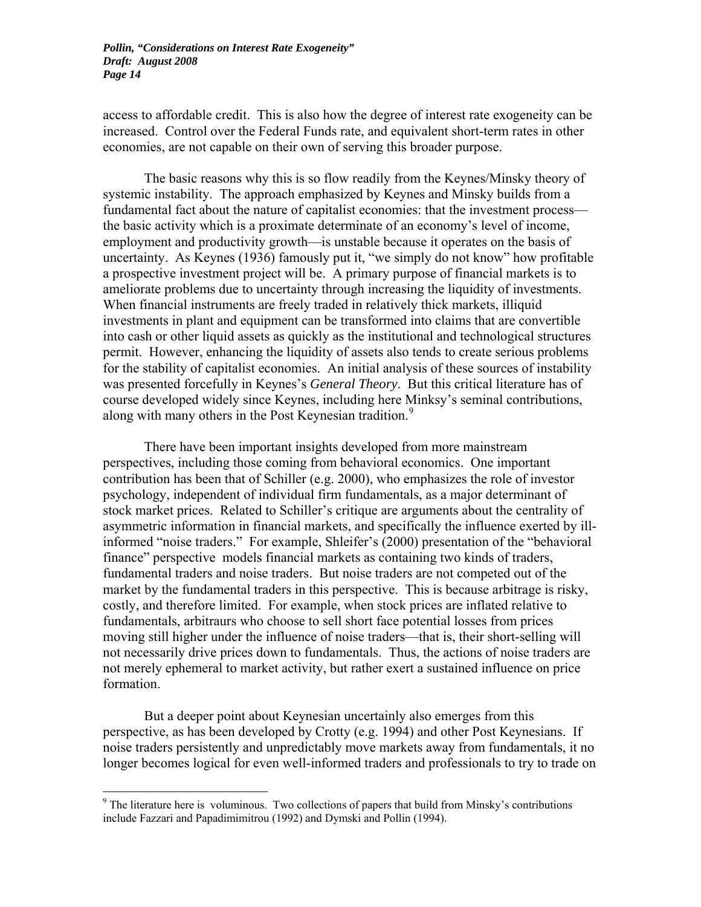access to affordable credit. This is also how the degree of interest rate exogeneity can be increased. Control over the Federal Funds rate, and equivalent short-term rates in other economies, are not capable on their own of serving this broader purpose.

 The basic reasons why this is so flow readily from the Keynes/Minsky theory of systemic instability. The approach emphasized by Keynes and Minsky builds from a fundamental fact about the nature of capitalist economies: that the investment process the basic activity which is a proximate determinate of an economy's level of income, employment and productivity growth—is unstable because it operates on the basis of uncertainty. As Keynes (1936) famously put it, "we simply do not know" how profitable a prospective investment project will be. A primary purpose of financial markets is to ameliorate problems due to uncertainty through increasing the liquidity of investments. When financial instruments are freely traded in relatively thick markets, illiquid investments in plant and equipment can be transformed into claims that are convertible into cash or other liquid assets as quickly as the institutional and technological structures permit. However, enhancing the liquidity of assets also tends to create serious problems for the stability of capitalist economies. An initial analysis of these sources of instability was presented forcefully in Keynes's *General Theory*. But this critical literature has of course developed widely since Keynes, including here Minksy's seminal contributions, along with many others in the Post Keynesian tradition.<sup>[9](#page-15-0)</sup>

There have been important insights developed from more mainstream perspectives, including those coming from behavioral economics. One important contribution has been that of Schiller (e.g. 2000), who emphasizes the role of investor psychology, independent of individual firm fundamentals, as a major determinant of stock market prices. Related to Schiller's critique are arguments about the centrality of asymmetric information in financial markets, and specifically the influence exerted by illinformed "noise traders." For example, Shleifer's (2000) presentation of the "behavioral finance" perspective models financial markets as containing two kinds of traders, fundamental traders and noise traders. But noise traders are not competed out of the market by the fundamental traders in this perspective. This is because arbitrage is risky, costly, and therefore limited. For example, when stock prices are inflated relative to fundamentals, arbitraurs who choose to sell short face potential losses from prices moving still higher under the influence of noise traders—that is, their short-selling will not necessarily drive prices down to fundamentals. Thus, the actions of noise traders are not merely ephemeral to market activity, but rather exert a sustained influence on price formation.

But a deeper point about Keynesian uncertainly also emerges from this perspective, as has been developed by Crotty (e.g. 1994) and other Post Keynesians. If noise traders persistently and unpredictably move markets away from fundamentals, it no longer becomes logical for even well-informed traders and professionals to try to trade on

<span id="page-15-0"></span> $9$  The literature here is voluminous. Two collections of papers that build from Minsky's contributions include Fazzari and Papadimimitrou (1992) and Dymski and Pollin (1994).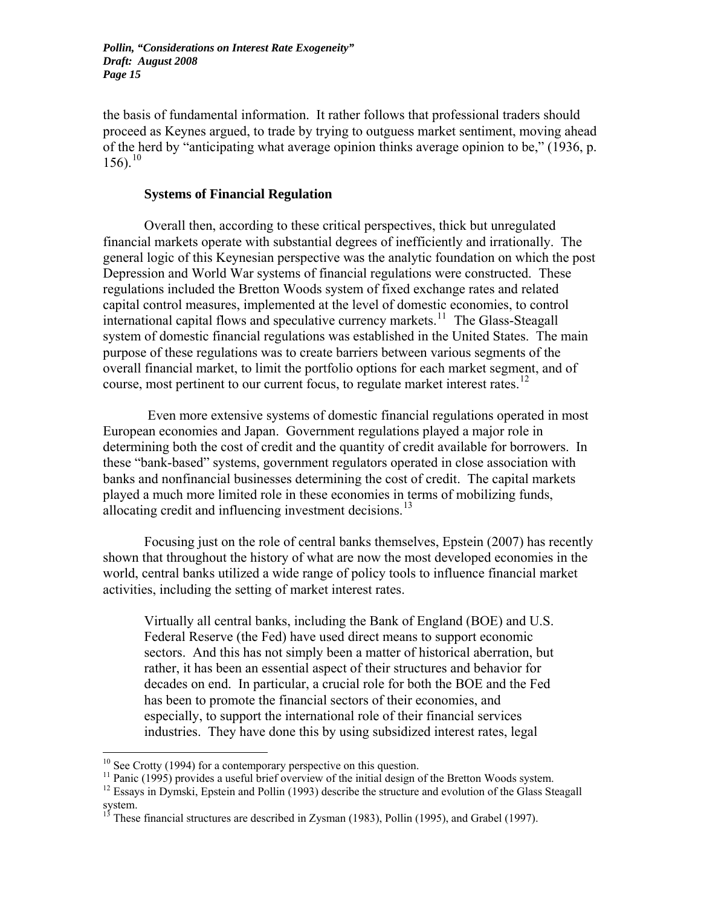the basis of fundamental information. It rather follows that professional traders should proceed as Keynes argued, to trade by trying to outguess market sentiment, moving ahead of the herd by "anticipating what average opinion thinks average opinion to be," (1936, p. 156).<sup>[10](#page-16-0)</sup>

#### **Systems of Financial Regulation**

Overall then, according to these critical perspectives, thick but unregulated financial markets operate with substantial degrees of inefficiently and irrationally. The general logic of this Keynesian perspective was the analytic foundation on which the post Depression and World War systems of financial regulations were constructed. These regulations included the Bretton Woods system of fixed exchange rates and related capital control measures, implemented at the level of domestic economies, to control international capital flows and speculative currency markets.<sup>[11](#page-16-1)</sup> The Glass-Steagall system of domestic financial regulations was established in the United States. The main purpose of these regulations was to create barriers between various segments of the overall financial market, to limit the portfolio options for each market segment, and of course, most pertinent to our current focus, to regulate market interest rates.<sup>[12](#page-16-2)</sup>

 Even more extensive systems of domestic financial regulations operated in most European economies and Japan. Government regulations played a major role in determining both the cost of credit and the quantity of credit available for borrowers. In these "bank-based" systems, government regulators operated in close association with banks and nonfinancial businesses determining the cost of credit. The capital markets played a much more limited role in these economies in terms of mobilizing funds, allocating credit and influencing investment decisions.<sup>[13](#page-16-3)</sup>

Focusing just on the role of central banks themselves, Epstein (2007) has recently shown that throughout the history of what are now the most developed economies in the world, central banks utilized a wide range of policy tools to influence financial market activities, including the setting of market interest rates.

Virtually all central banks, including the Bank of England (BOE) and U.S. Federal Reserve (the Fed) have used direct means to support economic sectors. And this has not simply been a matter of historical aberration, but rather, it has been an essential aspect of their structures and behavior for decades on end. In particular, a crucial role for both the BOE and the Fed has been to promote the financial sectors of their economies, and especially, to support the international role of their financial services industries. They have done this by using subsidized interest rates, legal

<span id="page-16-0"></span> $10$  See Crotty (1994) for a contemporary perspective on this question.

<sup>&</sup>lt;sup>11</sup> Panic (1995) provides a useful brief overview of the initial design of the Bretton Woods system.

<span id="page-16-2"></span><span id="page-16-1"></span> $12$  Essays in Dymski, Epstein and Pollin (1993) describe the structure and evolution of the Glass Steagall system.

<span id="page-16-3"></span><sup>13</sup> These financial structures are described in Zysman (1983), Pollin (1995), and Grabel (1997).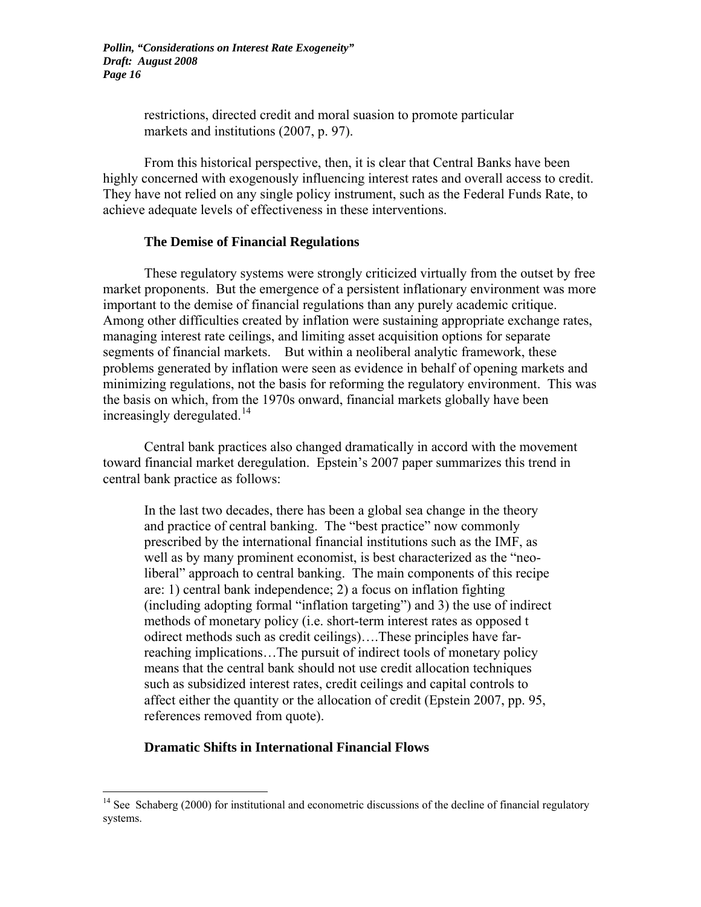> restrictions, directed credit and moral suasion to promote particular markets and institutions (2007, p. 97).

 From this historical perspective, then, it is clear that Central Banks have been highly concerned with exogenously influencing interest rates and overall access to credit. They have not relied on any single policy instrument, such as the Federal Funds Rate, to achieve adequate levels of effectiveness in these interventions.

#### **The Demise of Financial Regulations**

These regulatory systems were strongly criticized virtually from the outset by free market proponents. But the emergence of a persistent inflationary environment was more important to the demise of financial regulations than any purely academic critique. Among other difficulties created by inflation were sustaining appropriate exchange rates, managing interest rate ceilings, and limiting asset acquisition options for separate segments of financial markets. But within a neoliberal analytic framework, these problems generated by inflation were seen as evidence in behalf of opening markets and minimizing regulations, not the basis for reforming the regulatory environment. This was the basis on which, from the 1970s onward, financial markets globally have been increasingly deregulated.<sup>[14](#page-17-0)</sup>

Central bank practices also changed dramatically in accord with the movement toward financial market deregulation. Epstein's 2007 paper summarizes this trend in central bank practice as follows:

In the last two decades, there has been a global sea change in the theory and practice of central banking. The "best practice" now commonly prescribed by the international financial institutions such as the IMF, as well as by many prominent economist, is best characterized as the "neoliberal" approach to central banking. The main components of this recipe are: 1) central bank independence; 2) a focus on inflation fighting (including adopting formal "inflation targeting") and 3) the use of indirect methods of monetary policy (i.e. short-term interest rates as opposed t odirect methods such as credit ceilings)….These principles have farreaching implications…The pursuit of indirect tools of monetary policy means that the central bank should not use credit allocation techniques such as subsidized interest rates, credit ceilings and capital controls to affect either the quantity or the allocation of credit (Epstein 2007, pp. 95, references removed from quote).

#### **Dramatic Shifts in International Financial Flows**

<span id="page-17-0"></span> $14$  See Schaberg (2000) for institutional and econometric discussions of the decline of financial regulatory systems.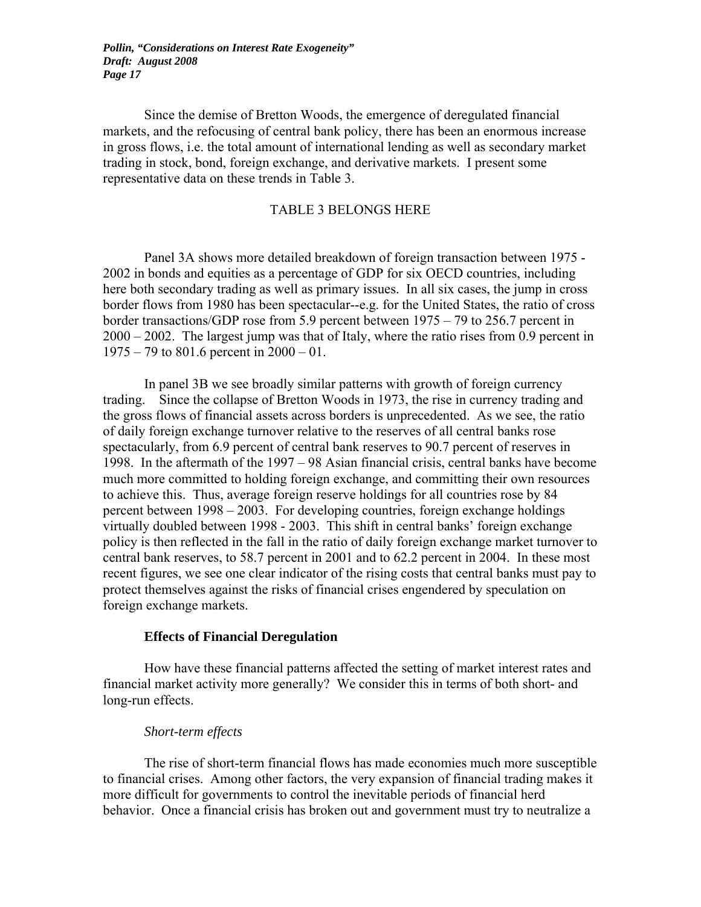Since the demise of Bretton Woods, the emergence of deregulated financial markets, and the refocusing of central bank policy, there has been an enormous increase in gross flows, i.e. the total amount of international lending as well as secondary market trading in stock, bond, foreign exchange, and derivative markets. I present some representative data on these trends in Table 3.

#### TABLE 3 BELONGS HERE

Panel 3A shows more detailed breakdown of foreign transaction between 1975 - 2002 in bonds and equities as a percentage of GDP for six OECD countries, including here both secondary trading as well as primary issues. In all six cases, the jump in cross border flows from 1980 has been spectacular--e.g. for the United States, the ratio of cross border transactions/GDP rose from 5.9 percent between 1975 – 79 to 256.7 percent in 2000 – 2002. The largest jump was that of Italy, where the ratio rises from 0.9 percent in 1975 – 79 to 801.6 percent in 2000 – 01.

In panel 3B we see broadly similar patterns with growth of foreign currency trading. Since the collapse of Bretton Woods in 1973, the rise in currency trading and the gross flows of financial assets across borders is unprecedented. As we see, the ratio of daily foreign exchange turnover relative to the reserves of all central banks rose spectacularly, from 6.9 percent of central bank reserves to 90.7 percent of reserves in 1998. In the aftermath of the 1997 – 98 Asian financial crisis, central banks have become much more committed to holding foreign exchange, and committing their own resources to achieve this. Thus, average foreign reserve holdings for all countries rose by 84 percent between 1998 – 2003. For developing countries, foreign exchange holdings virtually doubled between 1998 - 2003. This shift in central banks' foreign exchange policy is then reflected in the fall in the ratio of daily foreign exchange market turnover to central bank reserves, to 58.7 percent in 2001 and to 62.2 percent in 2004. In these most recent figures, we see one clear indicator of the rising costs that central banks must pay to protect themselves against the risks of financial crises engendered by speculation on foreign exchange markets.

#### **Effects of Financial Deregulation**

How have these financial patterns affected the setting of market interest rates and financial market activity more generally? We consider this in terms of both short- and long-run effects.

#### *Short-term effects*

The rise of short-term financial flows has made economies much more susceptible to financial crises. Among other factors, the very expansion of financial trading makes it more difficult for governments to control the inevitable periods of financial herd behavior. Once a financial crisis has broken out and government must try to neutralize a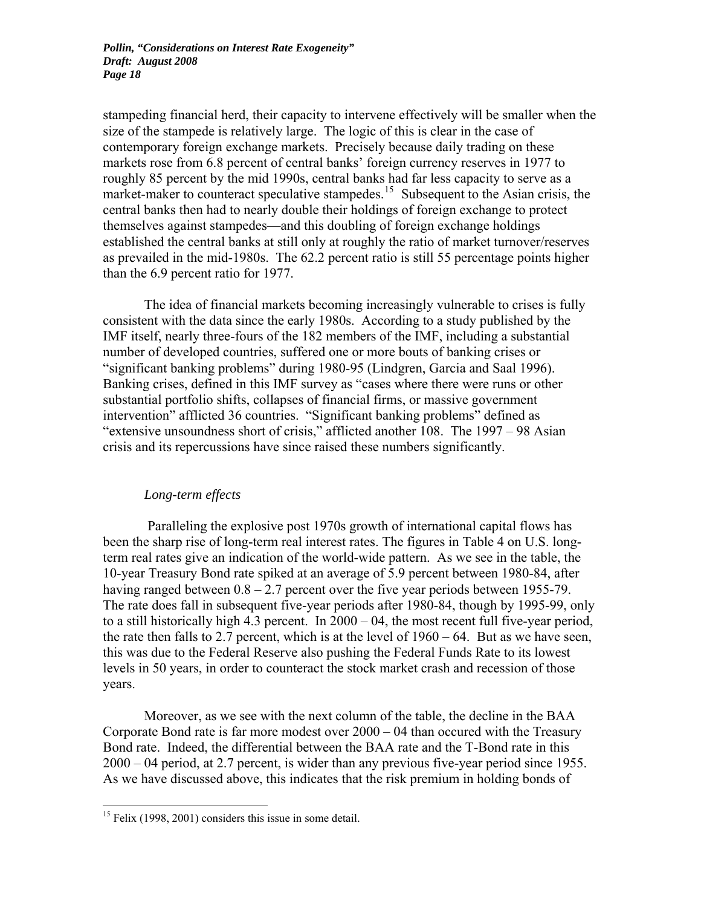stampeding financial herd, their capacity to intervene effectively will be smaller when the size of the stampede is relatively large. The logic of this is clear in the case of contemporary foreign exchange markets. Precisely because daily trading on these markets rose from 6.8 percent of central banks' foreign currency reserves in 1977 to roughly 85 percent by the mid 1990s, central banks had far less capacity to serve as a market-maker to counteract speculative stampedes.<sup>[15](#page-19-0)</sup> Subsequent to the Asian crisis, the central banks then had to nearly double their holdings of foreign exchange to protect themselves against stampedes—and this doubling of foreign exchange holdings established the central banks at still only at roughly the ratio of market turnover/reserves as prevailed in the mid-1980s. The 62.2 percent ratio is still 55 percentage points higher than the 6.9 percent ratio for 1977.

The idea of financial markets becoming increasingly vulnerable to crises is fully consistent with the data since the early 1980s. According to a study published by the IMF itself, nearly three-fours of the 182 members of the IMF, including a substantial number of developed countries, suffered one or more bouts of banking crises or "significant banking problems" during 1980-95 (Lindgren, Garcia and Saal 1996). Banking crises, defined in this IMF survey as "cases where there were runs or other substantial portfolio shifts, collapses of financial firms, or massive government intervention" afflicted 36 countries. "Significant banking problems" defined as "extensive unsoundness short of crisis," afflicted another 108. The 1997 – 98 Asian crisis and its repercussions have since raised these numbers significantly.

#### *Long-term effects*

 Paralleling the explosive post 1970s growth of international capital flows has been the sharp rise of long-term real interest rates. The figures in Table 4 on U.S. longterm real rates give an indication of the world-wide pattern. As we see in the table, the 10-year Treasury Bond rate spiked at an average of 5.9 percent between 1980-84, after having ranged between  $0.8 - 2.7$  percent over the five year periods between 1955-79. The rate does fall in subsequent five-year periods after 1980-84, though by 1995-99, only to a still historically high 4.3 percent. In 2000 – 04, the most recent full five-year period, the rate then falls to 2.7 percent, which is at the level of  $1960 - 64$ . But as we have seen, this was due to the Federal Reserve also pushing the Federal Funds Rate to its lowest levels in 50 years, in order to counteract the stock market crash and recession of those years.

Moreover, as we see with the next column of the table, the decline in the BAA Corporate Bond rate is far more modest over 2000 – 04 than occured with the Treasury Bond rate. Indeed, the differential between the BAA rate and the T-Bond rate in this 2000 – 04 period, at 2.7 percent, is wider than any previous five-year period since 1955. As we have discussed above, this indicates that the risk premium in holding bonds of

<span id="page-19-0"></span><sup>&</sup>lt;sup>15</sup> Felix (1998, 2001) considers this issue in some detail.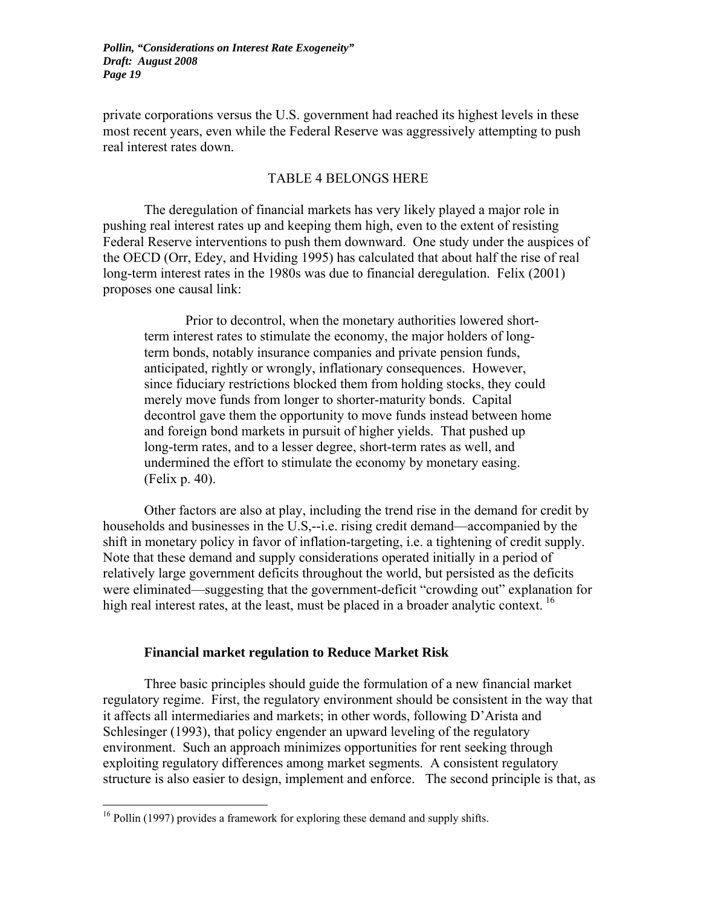private corporations versus the U.S. government had reached its highest levels in these most recent years, even while the Federal Reserve was aggressively attempting to push real interest rates down.

#### TABLE 4 BELONGS HERE

The deregulation of financial markets has very likely played a major role in pushing real interest rates up and keeping them high, even to the extent of resisting Federal Reserve interventions to push them downward. One study under the auspices of the OECD (Orr, Edey, and Hviding 1995) has calculated that about half the rise of real long-term interest rates in the 1980s was due to financial deregulation. Felix (2001) proposes one causal link:

Prior to decontrol, when the monetary authorities lowered shortterm interest rates to stimulate the economy, the major holders of longterm bonds, notably insurance companies and private pension funds, anticipated, rightly or wrongly, inflationary consequences. However, since fiduciary restrictions blocked them from holding stocks, they could merely move funds from longer to shorter-maturity bonds. Capital decontrol gave them the opportunity to move funds instead between home and foreign bond markets in pursuit of higher yields. That pushed up long-term rates, and to a lesser degree, short-term rates as well, and undermined the effort to stimulate the economy by monetary easing. (Felix p. 40).

Other factors are also at play, including the trend rise in the demand for credit by households and businesses in the U.S,--i.e. rising credit demand—accompanied by the shift in monetary policy in favor of inflation-targeting, i.e. a tightening of credit supply. Note that these demand and supply considerations operated initially in a period of relatively large government deficits throughout the world, but persisted as the deficits were eliminated—suggesting that the government-deficit "crowding out" explanation for high real interest rates, at the least, must be placed in a broader analytic context.  $^{16}$  $^{16}$  $^{16}$ 

#### **Financial market regulation to Reduce Market Risk**

 Three basic principles should guide the formulation of a new financial market regulatory regime. First, the regulatory environment should be consistent in the way that it affects all intermediaries and markets; in other words, following D'Arista and Schlesinger (1993), that policy engender an upward leveling of the regulatory environment. Such an approach minimizes opportunities for rent seeking through exploiting regulatory differences among market segments. A consistent regulatory structure is also easier to design, implement and enforce. The second principle is that, as

<span id="page-20-0"></span><sup>&</sup>lt;sup>16</sup> Pollin (1997) provides a framework for exploring these demand and supply shifts.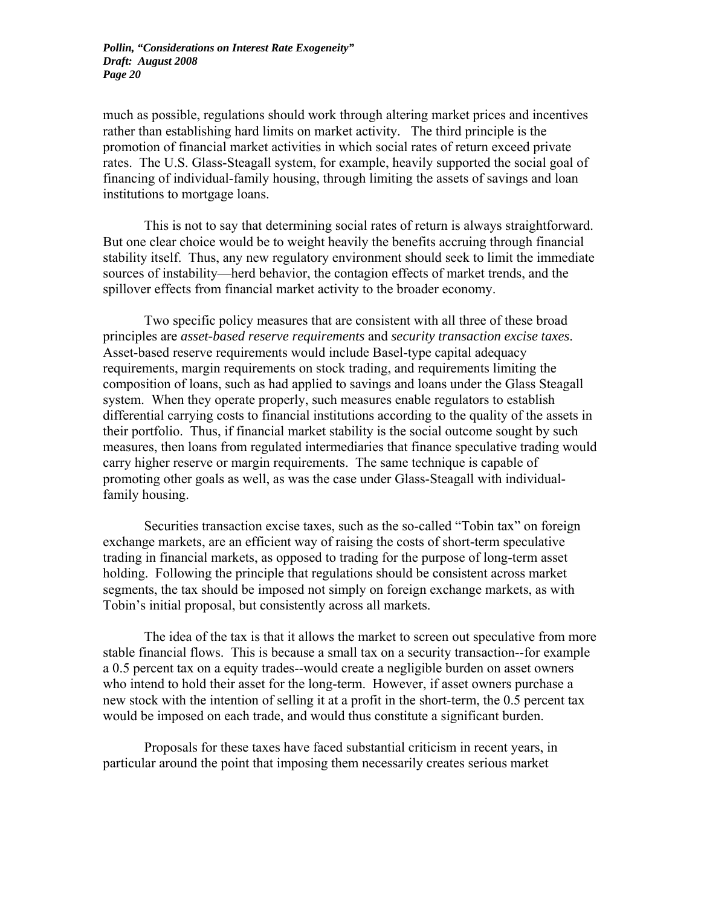much as possible, regulations should work through altering market prices and incentives rather than establishing hard limits on market activity. The third principle is the promotion of financial market activities in which social rates of return exceed private rates. The U.S. Glass-Steagall system, for example, heavily supported the social goal of financing of individual-family housing, through limiting the assets of savings and loan institutions to mortgage loans.

 This is not to say that determining social rates of return is always straightforward. But one clear choice would be to weight heavily the benefits accruing through financial stability itself. Thus, any new regulatory environment should seek to limit the immediate sources of instability—herd behavior, the contagion effects of market trends, and the spillover effects from financial market activity to the broader economy.

Two specific policy measures that are consistent with all three of these broad principles are *asset-based reserve requirements* and *security transaction excise taxes*. Asset-based reserve requirements would include Basel-type capital adequacy requirements, margin requirements on stock trading, and requirements limiting the composition of loans, such as had applied to savings and loans under the Glass Steagall system. When they operate properly, such measures enable regulators to establish differential carrying costs to financial institutions according to the quality of the assets in their portfolio. Thus, if financial market stability is the social outcome sought by such measures, then loans from regulated intermediaries that finance speculative trading would carry higher reserve or margin requirements. The same technique is capable of promoting other goals as well, as was the case under Glass-Steagall with individualfamily housing.

Securities transaction excise taxes, such as the so-called "Tobin tax" on foreign exchange markets, are an efficient way of raising the costs of short-term speculative trading in financial markets, as opposed to trading for the purpose of long-term asset holding. Following the principle that regulations should be consistent across market segments, the tax should be imposed not simply on foreign exchange markets, as with Tobin's initial proposal, but consistently across all markets.

The idea of the tax is that it allows the market to screen out speculative from more stable financial flows. This is because a small tax on a security transaction--for example a 0.5 percent tax on a equity trades--would create a negligible burden on asset owners who intend to hold their asset for the long-term. However, if asset owners purchase a new stock with the intention of selling it at a profit in the short-term, the 0.5 percent tax would be imposed on each trade, and would thus constitute a significant burden.

Proposals for these taxes have faced substantial criticism in recent years, in particular around the point that imposing them necessarily creates serious market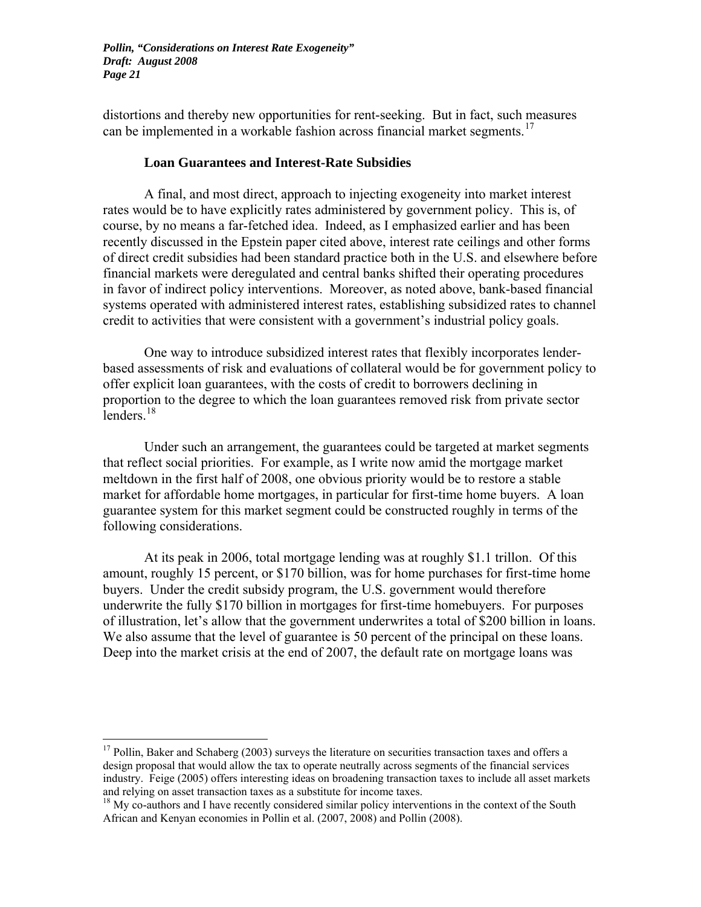distortions and thereby new opportunities for rent-seeking. But in fact, such measures can be implemented in a workable fashion across financial market segments.<sup>[17](#page-22-0)</sup>

#### **Loan Guarantees and Interest-Rate Subsidies**

A final, and most direct, approach to injecting exogeneity into market interest rates would be to have explicitly rates administered by government policy. This is, of course, by no means a far-fetched idea. Indeed, as I emphasized earlier and has been recently discussed in the Epstein paper cited above, interest rate ceilings and other forms of direct credit subsidies had been standard practice both in the U.S. and elsewhere before financial markets were deregulated and central banks shifted their operating procedures in favor of indirect policy interventions. Moreover, as noted above, bank-based financial systems operated with administered interest rates, establishing subsidized rates to channel credit to activities that were consistent with a government's industrial policy goals.

 One way to introduce subsidized interest rates that flexibly incorporates lenderbased assessments of risk and evaluations of collateral would be for government policy to offer explicit loan guarantees, with the costs of credit to borrowers declining in proportion to the degree to which the loan guarantees removed risk from private sector  $\overline{\text{lenders}}$ <sup>[18](#page-22-1)</sup>

Under such an arrangement, the guarantees could be targeted at market segments that reflect social priorities. For example, as I write now amid the mortgage market meltdown in the first half of 2008, one obvious priority would be to restore a stable market for affordable home mortgages, in particular for first-time home buyers. A loan guarantee system for this market segment could be constructed roughly in terms of the following considerations.

At its peak in 2006, total mortgage lending was at roughly \$1.1 trillon. Of this amount, roughly 15 percent, or \$170 billion, was for home purchases for first-time home buyers. Under the credit subsidy program, the U.S. government would therefore underwrite the fully \$170 billion in mortgages for first-time homebuyers. For purposes of illustration, let's allow that the government underwrites a total of \$200 billion in loans. We also assume that the level of guarantee is 50 percent of the principal on these loans. Deep into the market crisis at the end of 2007, the default rate on mortgage loans was

<span id="page-22-0"></span> $17$  Pollin, Baker and Schaberg (2003) surveys the literature on securities transaction taxes and offers a design proposal that would allow the tax to operate neutrally across segments of the financial services industry. Feige (2005) offers interesting ideas on broadening transaction taxes to include all asset markets and relying on asset transaction taxes as a substitute for income taxes.

<span id="page-22-1"></span> $18$  My co-authors and I have recently considered similar policy interventions in the context of the South African and Kenyan economies in Pollin et al. (2007, 2008) and Pollin (2008).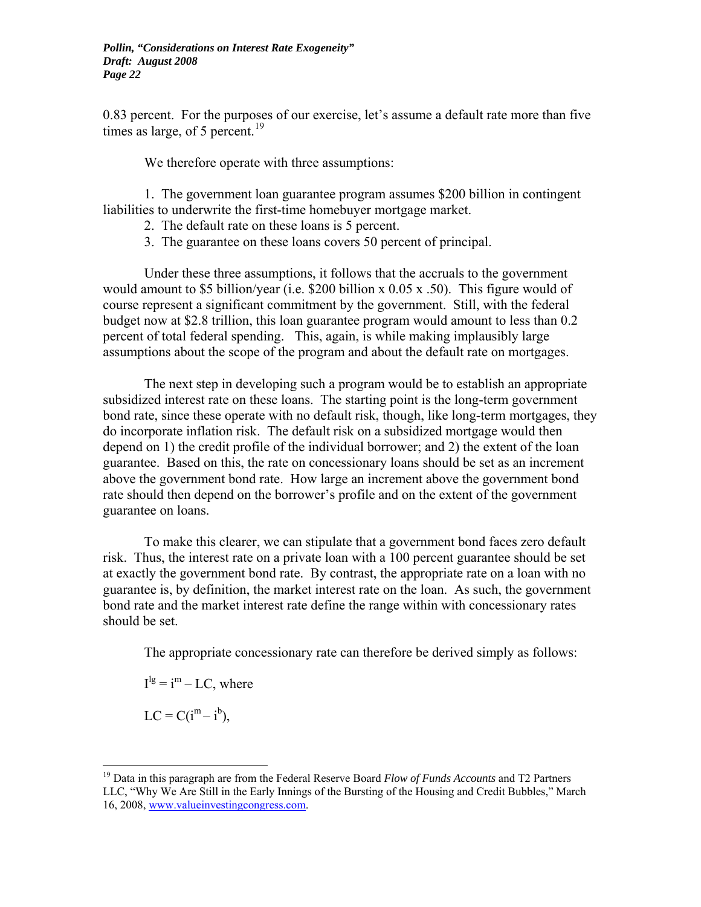0.83 percent. For the purposes of our exercise, let's assume a default rate more than five times as large, of 5 percent.<sup>[19](#page-23-0)</sup>

We therefore operate with three assumptions:

1. The government loan guarantee program assumes \$200 billion in contingent liabilities to underwrite the first-time homebuyer mortgage market.

- 2. The default rate on these loans is 5 percent.
- 3. The guarantee on these loans covers 50 percent of principal.

Under these three assumptions, it follows that the accruals to the government would amount to \$5 billion/year (i.e. \$200 billion x  $0.05 \times 0.50$ ). This figure would of course represent a significant commitment by the government. Still, with the federal budget now at \$2.8 trillion, this loan guarantee program would amount to less than 0.2 percent of total federal spending. This, again, is while making implausibly large assumptions about the scope of the program and about the default rate on mortgages.

The next step in developing such a program would be to establish an appropriate subsidized interest rate on these loans. The starting point is the long-term government bond rate, since these operate with no default risk, though, like long-term mortgages, they do incorporate inflation risk. The default risk on a subsidized mortgage would then depend on 1) the credit profile of the individual borrower; and 2) the extent of the loan guarantee. Based on this, the rate on concessionary loans should be set as an increment above the government bond rate. How large an increment above the government bond rate should then depend on the borrower's profile and on the extent of the government guarantee on loans.

 To make this clearer, we can stipulate that a government bond faces zero default risk. Thus, the interest rate on a private loan with a 100 percent guarantee should be set at exactly the government bond rate. By contrast, the appropriate rate on a loan with no guarantee is, by definition, the market interest rate on the loan. As such, the government bond rate and the market interest rate define the range within with concessionary rates should be set.

The appropriate concessionary rate can therefore be derived simply as follows:

 $I^{lg} = i^m - LC$ , where

 $LC = C(i^{m} - i^{b}),$ 

<span id="page-23-0"></span><sup>19</sup> Data in this paragraph are from the Federal Reserve Board *Flow of Funds Accounts* and T2 Partners LLC, "Why We Are Still in the Early Innings of the Bursting of the Housing and Credit Bubbles," March 16, 2008, [www.valueinvestingcongress.com](http://www.valueinvestingcongress.com/).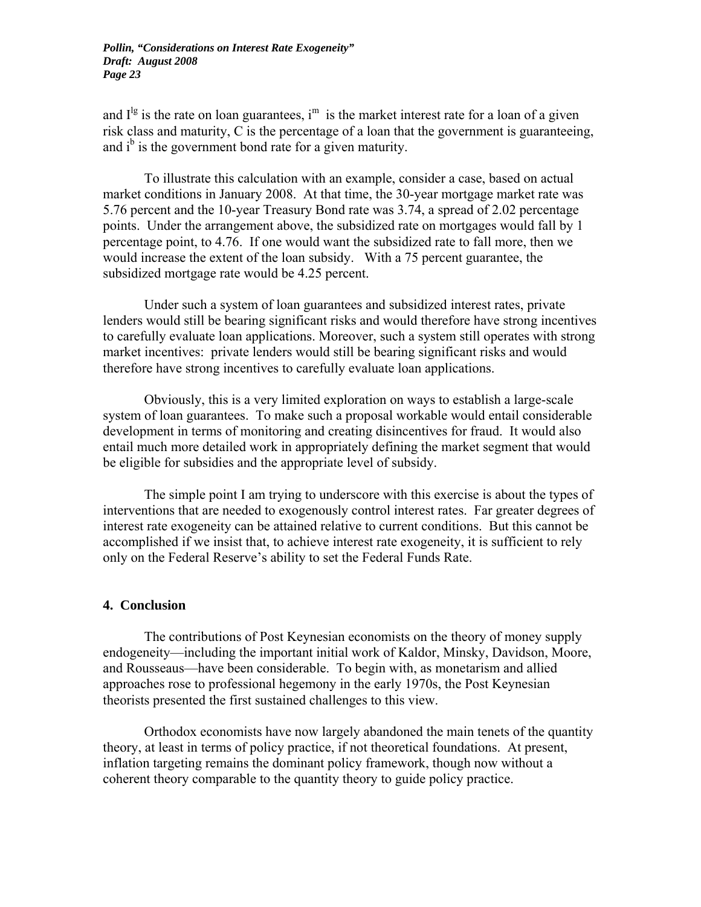and  $I^{\lg}$  is the rate on loan guarantees, i<sup>m</sup> is the market interest rate for a loan of a given risk class and maturity, C is the percentage of a loan that the government is guaranteeing, and  $i^b$  is the government bond rate for a given maturity.

 To illustrate this calculation with an example, consider a case, based on actual market conditions in January 2008. At that time, the 30-year mortgage market rate was 5.76 percent and the 10-year Treasury Bond rate was 3.74, a spread of 2.02 percentage points. Under the arrangement above, the subsidized rate on mortgages would fall by 1 percentage point, to 4.76. If one would want the subsidized rate to fall more, then we would increase the extent of the loan subsidy. With a 75 percent guarantee, the subsidized mortgage rate would be 4.25 percent.

 Under such a system of loan guarantees and subsidized interest rates, private lenders would still be bearing significant risks and would therefore have strong incentives to carefully evaluate loan applications. Moreover, such a system still operates with strong market incentives: private lenders would still be bearing significant risks and would therefore have strong incentives to carefully evaluate loan applications.

 Obviously, this is a very limited exploration on ways to establish a large-scale system of loan guarantees. To make such a proposal workable would entail considerable development in terms of monitoring and creating disincentives for fraud. It would also entail much more detailed work in appropriately defining the market segment that would be eligible for subsidies and the appropriate level of subsidy.

 The simple point I am trying to underscore with this exercise is about the types of interventions that are needed to exogenously control interest rates. Far greater degrees of interest rate exogeneity can be attained relative to current conditions. But this cannot be accomplished if we insist that, to achieve interest rate exogeneity, it is sufficient to rely only on the Federal Reserve's ability to set the Federal Funds Rate.

#### **4. Conclusion**

 The contributions of Post Keynesian economists on the theory of money supply endogeneity—including the important initial work of Kaldor, Minsky, Davidson, Moore, and Rousseaus—have been considerable. To begin with, as monetarism and allied approaches rose to professional hegemony in the early 1970s, the Post Keynesian theorists presented the first sustained challenges to this view.

 Orthodox economists have now largely abandoned the main tenets of the quantity theory, at least in terms of policy practice, if not theoretical foundations. At present, inflation targeting remains the dominant policy framework, though now without a coherent theory comparable to the quantity theory to guide policy practice.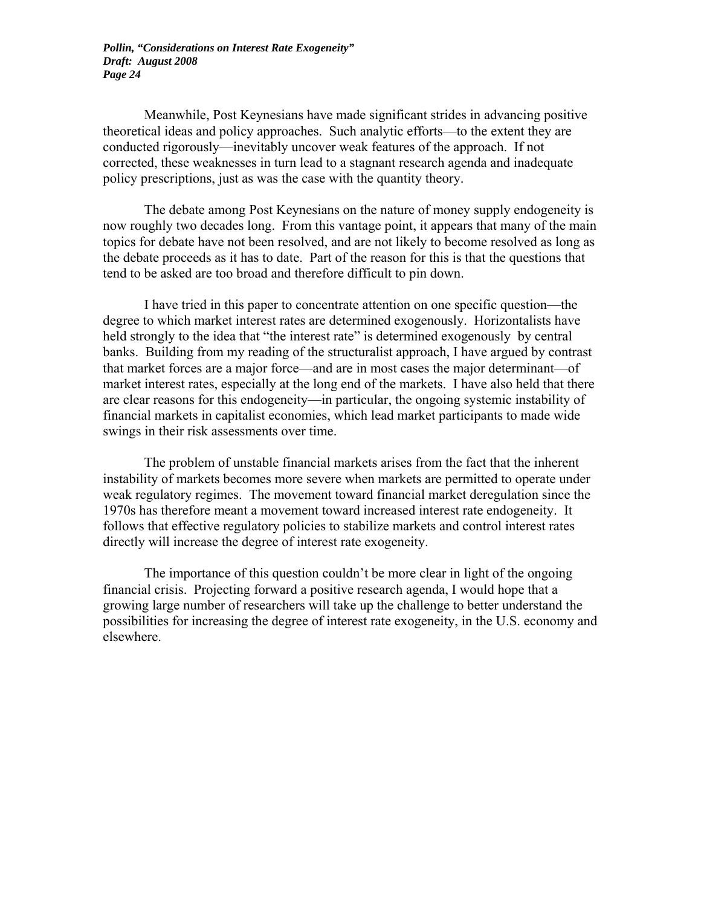Meanwhile, Post Keynesians have made significant strides in advancing positive theoretical ideas and policy approaches. Such analytic efforts—to the extent they are conducted rigorously—inevitably uncover weak features of the approach. If not corrected, these weaknesses in turn lead to a stagnant research agenda and inadequate policy prescriptions, just as was the case with the quantity theory.

 The debate among Post Keynesians on the nature of money supply endogeneity is now roughly two decades long. From this vantage point, it appears that many of the main topics for debate have not been resolved, and are not likely to become resolved as long as the debate proceeds as it has to date. Part of the reason for this is that the questions that tend to be asked are too broad and therefore difficult to pin down.

I have tried in this paper to concentrate attention on one specific question—the degree to which market interest rates are determined exogenously. Horizontalists have held strongly to the idea that "the interest rate" is determined exogenously by central banks. Building from my reading of the structuralist approach, I have argued by contrast that market forces are a major force—and are in most cases the major determinant—of market interest rates, especially at the long end of the markets. I have also held that there are clear reasons for this endogeneity—in particular, the ongoing systemic instability of financial markets in capitalist economies, which lead market participants to made wide swings in their risk assessments over time.

The problem of unstable financial markets arises from the fact that the inherent instability of markets becomes more severe when markets are permitted to operate under weak regulatory regimes. The movement toward financial market deregulation since the 1970s has therefore meant a movement toward increased interest rate endogeneity. It follows that effective regulatory policies to stabilize markets and control interest rates directly will increase the degree of interest rate exogeneity.

The importance of this question couldn't be more clear in light of the ongoing financial crisis. Projecting forward a positive research agenda, I would hope that a growing large number of researchers will take up the challenge to better understand the possibilities for increasing the degree of interest rate exogeneity, in the U.S. economy and elsewhere.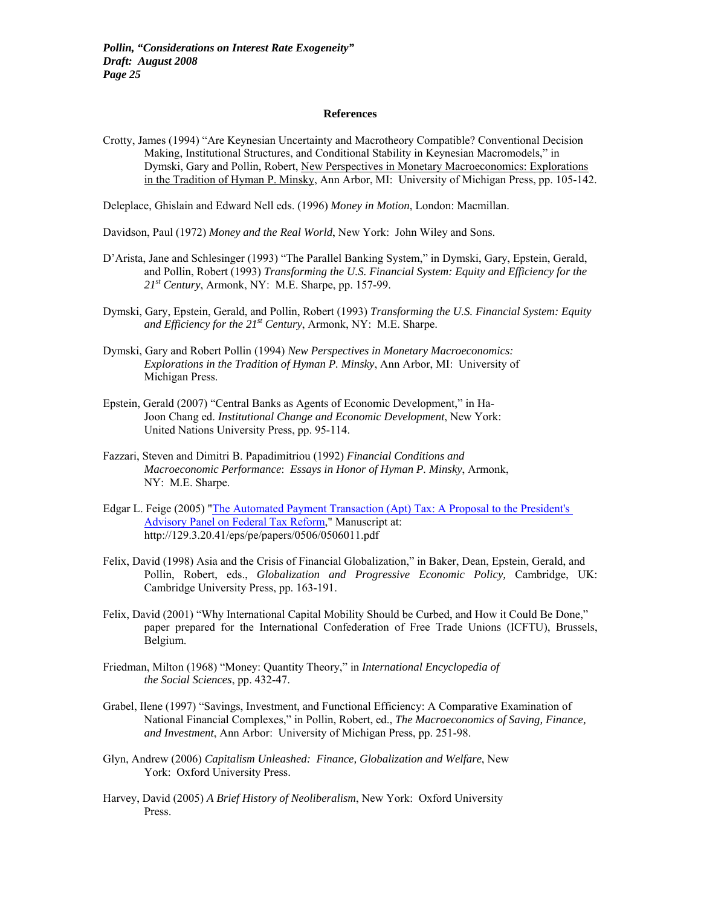#### **References**

Crotty, James (1994) "Are Keynesian Uncertainty and Macrotheory Compatible? Conventional Decision Making, Institutional Structures, and Conditional Stability in Keynesian Macromodels," in Dymski, Gary and Pollin, Robert, New Perspectives in Monetary Macroeconomics: Explorations in the Tradition of Hyman P. Minsky, Ann Arbor, MI: University of Michigan Press, pp. 105-142.

Deleplace, Ghislain and Edward Nell eds. (1996) *Money in Motion*, London: Macmillan.

Davidson, Paul (1972) *Money and the Real World*, New York: John Wiley and Sons.

- D'Arista, Jane and Schlesinger (1993) "The Parallel Banking System," in Dymski, Gary, Epstein, Gerald, and Pollin, Robert (1993) *Transforming the U.S. Financial System: Equity and Efficiency for the 21st Century*, Armonk, NY: M.E. Sharpe, pp. 157-99.
- Dymski, Gary, Epstein, Gerald, and Pollin, Robert (1993) *Transforming the U.S. Financial System: Equity and Efficiency for the 21st Century*, Armonk, NY: M.E. Sharpe.
- Dymski, Gary and Robert Pollin (1994) *New Perspectives in Monetary Macroeconomics: Explorations in the Tradition of Hyman P. Minsky*, Ann Arbor, MI: University of Michigan Press.
- Epstein, Gerald (2007) "Central Banks as Agents of Economic Development," in Ha- Joon Chang ed. *Institutional Change and Economic Development*, New York: United Nations University Press, pp. 95-114.
- Fazzari, Steven and Dimitri B. Papadimitriou (1992) *Financial Conditions and Macroeconomic Performance*: *Essays in Honor of Hyman P. Minsky*, Armonk, NY: M.E. Sharpe.
- Edgar L. Feige (2005) "The Automated Payment Transaction (Apt) Tax: A Proposal to the President's [Advisory Panel on Federal Tax Reform,](http://ideas.repec.org/p/wpa/wuwppe/0506011.html)" Manuscript at: http://129.3.20.41/eps/pe/papers/0506/0506011.pdf
- Felix, David (1998) Asia and the Crisis of Financial Globalization," in Baker, Dean, Epstein, Gerald, and Pollin, Robert, eds., *Globalization and Progressive Economic Policy,* Cambridge, UK: Cambridge University Press, pp. 163-191.
- Felix, David (2001) "Why International Capital Mobility Should be Curbed, and How it Could Be Done," paper prepared for the International Confederation of Free Trade Unions (ICFTU), Brussels, Belgium.
- Friedman, Milton (1968) "Money: Quantity Theory," in *International Encyclopedia of the Social Sciences*, pp. 432-47.
- Grabel, Ilene (1997) "Savings, Investment, and Functional Efficiency: A Comparative Examination of National Financial Complexes," in Pollin, Robert, ed., *The Macroeconomics of Saving, Finance, and Investment*, Ann Arbor: University of Michigan Press, pp. 251-98.
- Glyn, Andrew (2006) *Capitalism Unleashed: Finance, Globalization and Welfare*, New York: Oxford University Press.
- Harvey, David (2005) *A Brief History of Neoliberalism*, New York: Oxford University Press.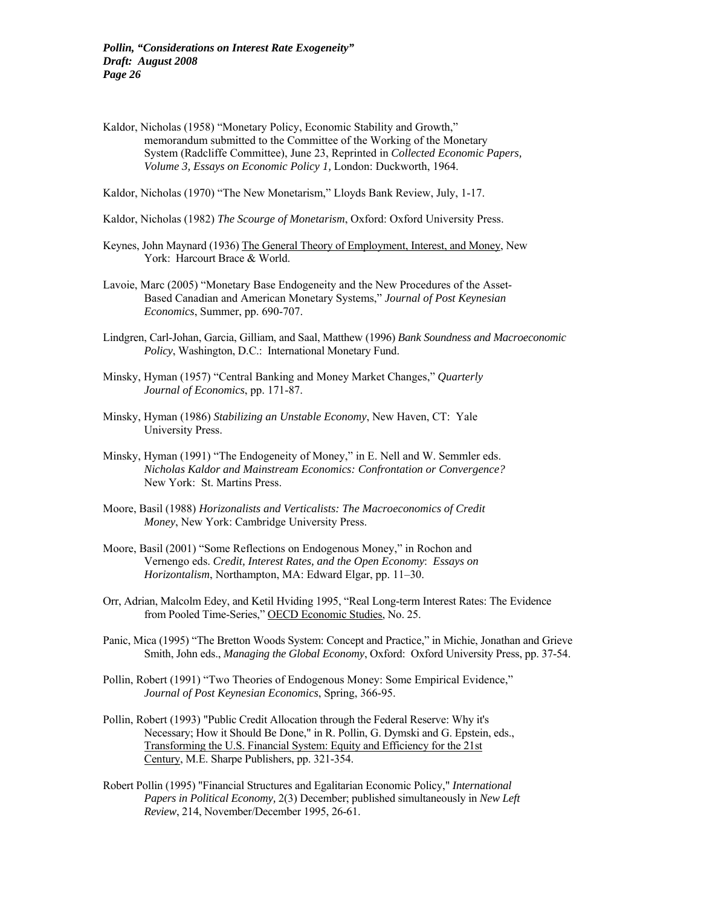- Kaldor, Nicholas (1958) "Monetary Policy, Economic Stability and Growth," memorandum submitted to the Committee of the Working of the Monetary System (Radcliffe Committee), June 23, Reprinted in *Collected Economic Papers, Volume 3, Essays on Economic Policy 1,* London: Duckworth, 1964.
- Kaldor, Nicholas (1970) "The New Monetarism," Lloyds Bank Review, July, 1-17.
- Kaldor, Nicholas (1982) *The Scourge of Monetarism*, Oxford: Oxford University Press.
- Keynes, John Maynard (1936) The General Theory of Employment, Interest, and Money, New York: Harcourt Brace & World.
- Lavoie, Marc (2005) "Monetary Base Endogeneity and the New Procedures of the Asset- Based Canadian and American Monetary Systems," *Journal of Post Keynesian Economics*, Summer, pp. 690-707.
- Lindgren, Carl-Johan, Garcia, Gilliam, and Saal, Matthew (1996) *Bank Soundness and Macroeconomic Policy*, Washington, D.C.: International Monetary Fund.
- Minsky, Hyman (1957) "Central Banking and Money Market Changes," *Quarterly Journal of Economics*, pp. 171-87.
- Minsky, Hyman (1986) *Stabilizing an Unstable Economy*, New Haven, CT: Yale University Press.
- Minsky, Hyman (1991) "The Endogeneity of Money," in E. Nell and W. Semmler eds. *Nicholas Kaldor and Mainstream Economics: Confrontation or Convergence?*  New York: St. Martins Press.
- Moore, Basil (1988) *Horizonalists and Verticalists: The Macroeconomics of Credit Money*, New York: Cambridge University Press.
- Moore, Basil (2001) "Some Reflections on Endogenous Money," in Rochon and Vernengo eds. *Credit, Interest Rates, and the Open Economy*: *Essays on Horizontalism*, Northampton, MA: Edward Elgar, pp. 11–30.
- Orr, Adrian, Malcolm Edey, and Ketil Hviding 1995, "Real Long-term Interest Rates: The Evidence from Pooled Time-Series," OECD Economic Studies, No. 25.
- Panic, Mica (1995) "The Bretton Woods System: Concept and Practice," in Michie, Jonathan and Grieve Smith, John eds., *Managing the Global Economy*, Oxford: Oxford University Press, pp. 37-54.
- Pollin, Robert (1991) "Two Theories of Endogenous Money: Some Empirical Evidence," *Journal of Post Keynesian Economics*, Spring, 366-95.
- Pollin, Robert (1993) "Public Credit Allocation through the Federal Reserve: Why it's Necessary; How it Should Be Done," in R. Pollin, G. Dymski and G. Epstein, eds., Transforming the U.S. Financial System: Equity and Efficiency for the 21st Century, M.E. Sharpe Publishers, pp. 321-354.
- Robert Pollin (1995) "Financial Structures and Egalitarian Economic Policy," *International Papers in Political Economy,* 2(3) December; published simultaneously in *New Left Review*, 214, November/December 1995, 26-61.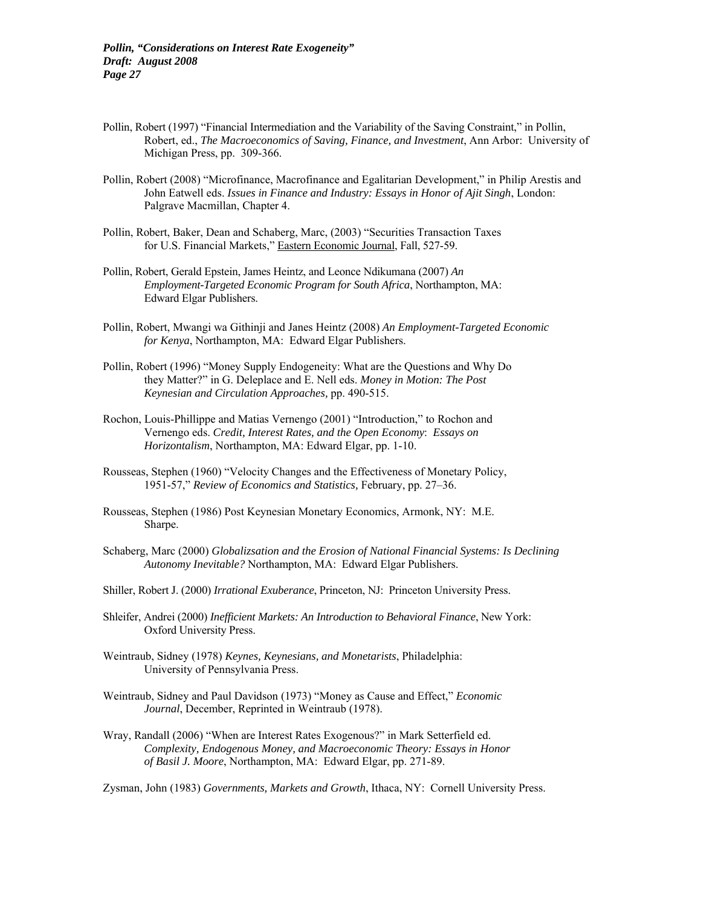- Pollin, Robert (1997) "Financial Intermediation and the Variability of the Saving Constraint," in Pollin, Robert, ed., *The Macroeconomics of Saving, Finance, and Investment*, Ann Arbor: University of Michigan Press, pp. 309-366.
- Pollin, Robert (2008) "Microfinance, Macrofinance and Egalitarian Development," in Philip Arestis and John Eatwell eds. *Issues in Finance and Industry: Essays in Honor of Ajit Singh*, London: Palgrave Macmillan, Chapter 4.
- Pollin, Robert, Baker, Dean and Schaberg, Marc, (2003) "Securities Transaction Taxes for U.S. Financial Markets," Eastern Economic Journal, Fall, 527-59.
- Pollin, Robert, Gerald Epstein, James Heintz, and Leonce Ndikumana (2007) *An Employment-Targeted Economic Program for South Africa*, Northampton, MA: Edward Elgar Publishers.
- Pollin, Robert, Mwangi wa Githinji and Janes Heintz (2008) *An Employment-Targeted Economic for Kenya*, Northampton, MA: Edward Elgar Publishers.
- Pollin, Robert (1996) "Money Supply Endogeneity: What are the Questions and Why Do they Matter?" in G. Deleplace and E. Nell eds. *Money in Motion: The Post Keynesian and Circulation Approaches,* pp. 490-515.
- Rochon, Louis-Phillippe and Matias Vernengo (2001) "Introduction," to Rochon and Vernengo eds. *Credit, Interest Rates, and the Open Economy*: *Essays on Horizontalism*, Northampton, MA: Edward Elgar, pp. 1-10.
- Rousseas, Stephen (1960) "Velocity Changes and the Effectiveness of Monetary Policy, 1951-57," *Review of Economics and Statistics,* February, pp. 27–36.
- Rousseas, Stephen (1986) Post Keynesian Monetary Economics, Armonk, NY: M.E. Sharpe.
- Schaberg, Marc (2000) *Globalizsation and the Erosion of National Financial Systems: Is Declining Autonomy Inevitable?* Northampton, MA: Edward Elgar Publishers.
- Shiller, Robert J. (2000) *Irrational Exuberance*, Princeton, NJ: Princeton University Press.
- Shleifer, Andrei (2000) *Inefficient Markets: An Introduction to Behavioral Finance*, New York: Oxford University Press.
- Weintraub, Sidney (1978) *Keynes, Keynesians, and Monetarists*, Philadelphia: University of Pennsylvania Press.
- Weintraub, Sidney and Paul Davidson (1973) "Money as Cause and Effect," *Economic Journal*, December, Reprinted in Weintraub (1978).
- Wray, Randall (2006) "When are Interest Rates Exogenous?" in Mark Setterfield ed. *Complexity, Endogenous Money, and Macroeconomic Theory: Essays in Honor of Basil J. Moore*, Northampton, MA: Edward Elgar, pp. 271-89.

Zysman, John (1983) *Governments, Markets and Growth*, Ithaca, NY: Cornell University Press.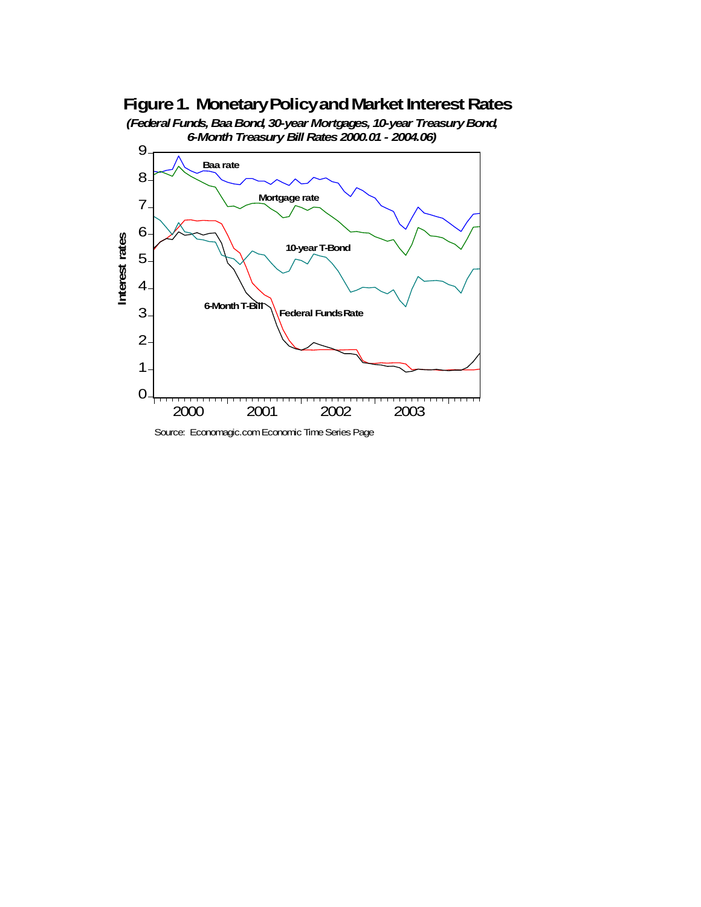## **Figure 1. Monetary Policy and Market Interest Rates**



*(Federal Funds, Baa Bond, 30-year Mortgages, 10-year Treasury Bond, 6-Month Treasury Bill Rates 2000.01 - 2004.06)*

Source: Economagic.com Economic Time Series Page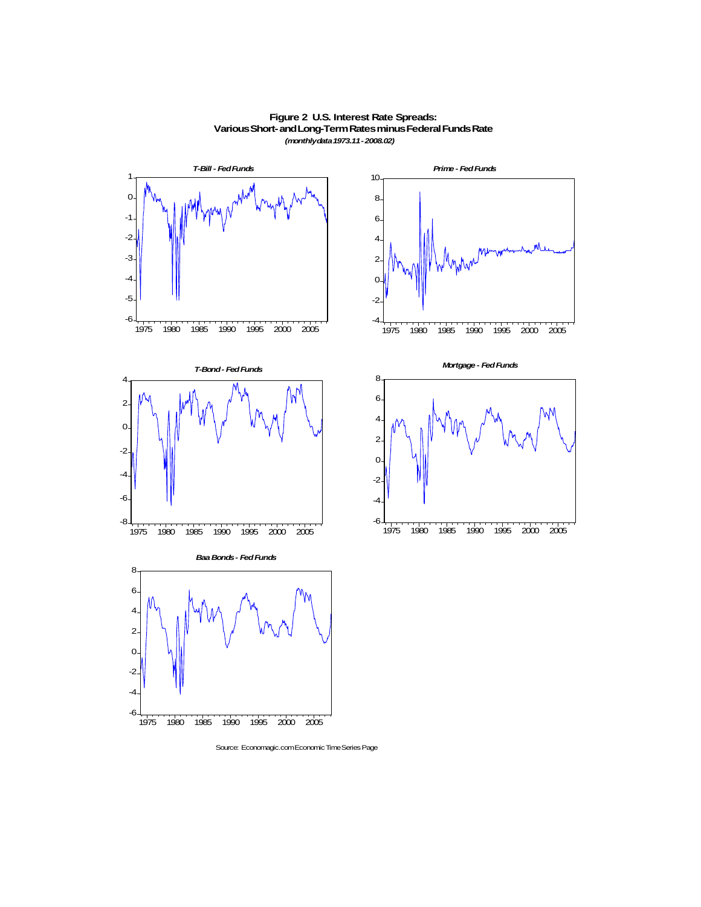

**Figure 2 U.S. Interest Rate Spreads: Various Short- and Long-Term Rates minus Federal Funds Rate** *(monthly data 1973.11 - 2008.02)*

Source: Economagic.com Economic Time Series Page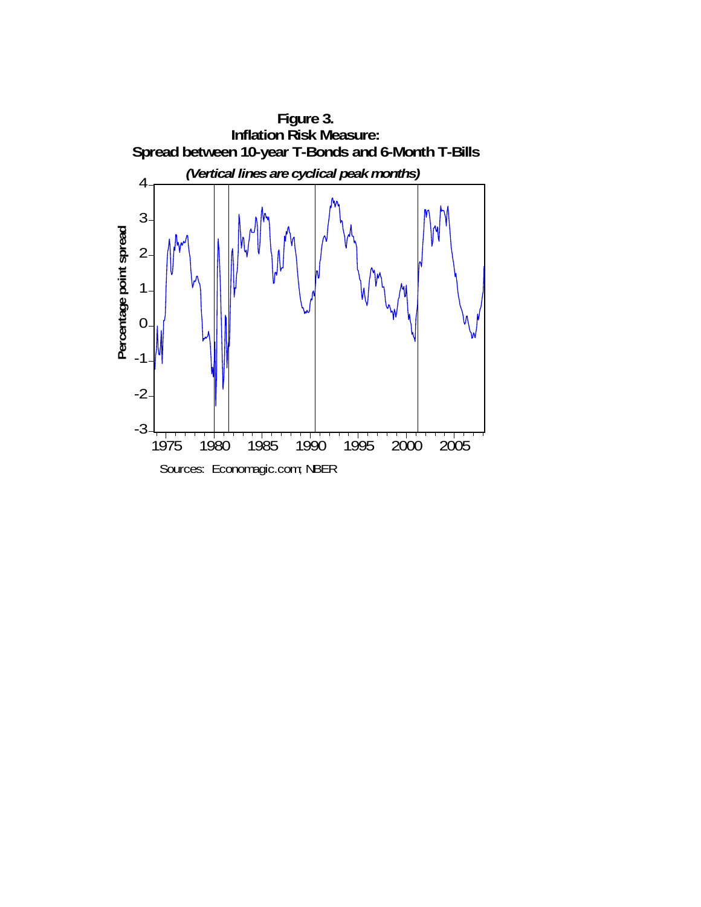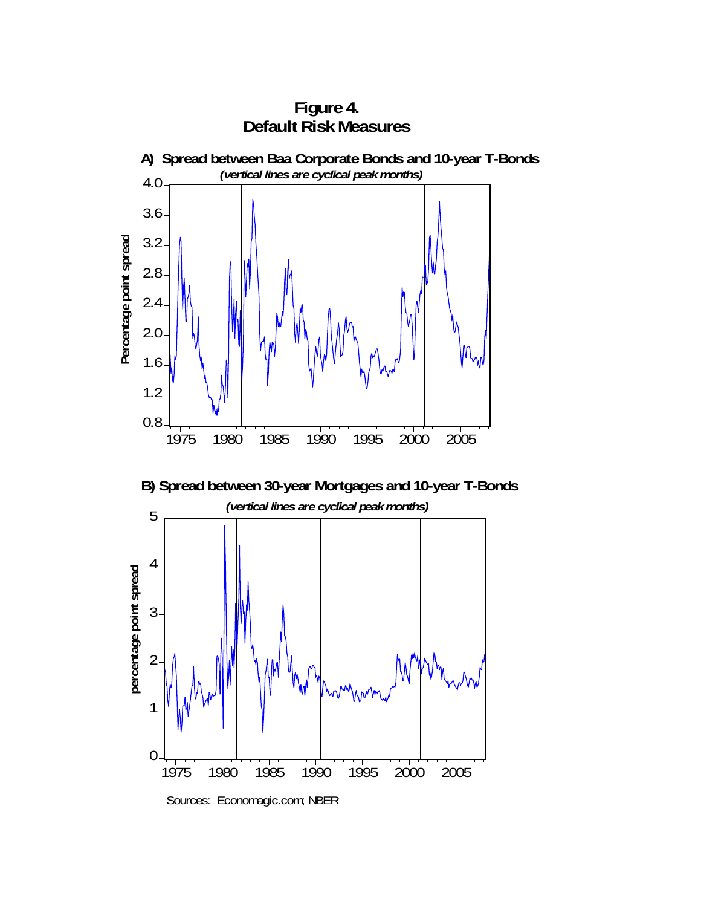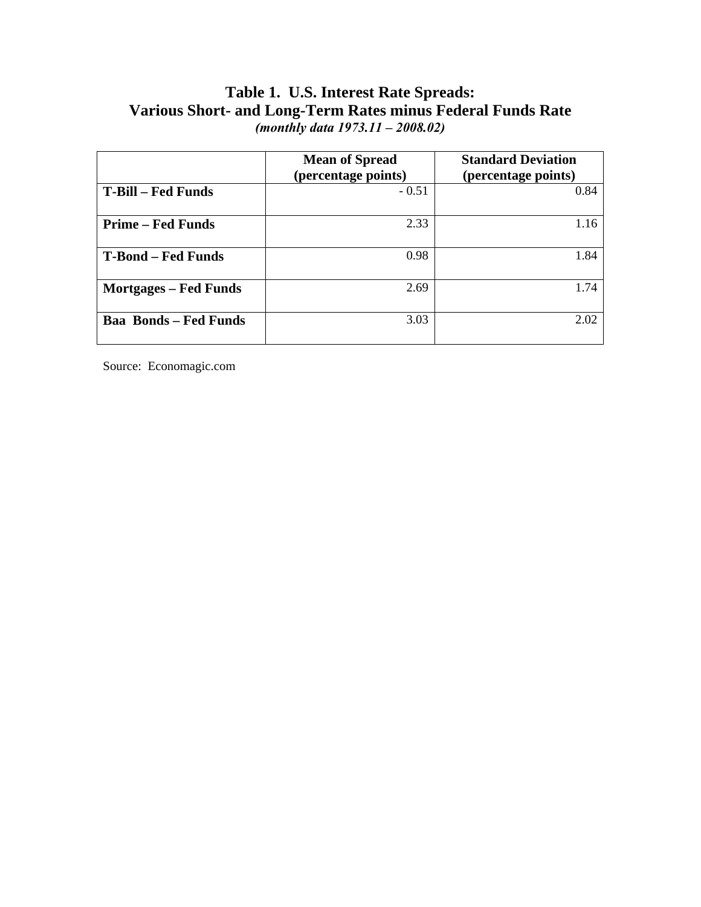### **Table 1. U.S. Interest Rate Spreads: Various Short- and Long-Term Rates minus Federal Funds Rate**  *(monthly data 1973.11 – 2008.02)*

|                              | <b>Mean of Spread</b><br>(percentage points) | <b>Standard Deviation</b><br>(percentage points) |
|------------------------------|----------------------------------------------|--------------------------------------------------|
| <b>T-Bill – Fed Funds</b>    | $-0.51$                                      | 0.84                                             |
| <b>Prime – Fed Funds</b>     | 2.33                                         | 1.16                                             |
| <b>T-Bond – Fed Funds</b>    | 0.98                                         | 1.84                                             |
| <b>Mortgages – Fed Funds</b> | 2.69                                         | 1.74                                             |
| <b>Baa Bonds - Fed Funds</b> | 3.03                                         | 2.02                                             |

Source: Economagic.com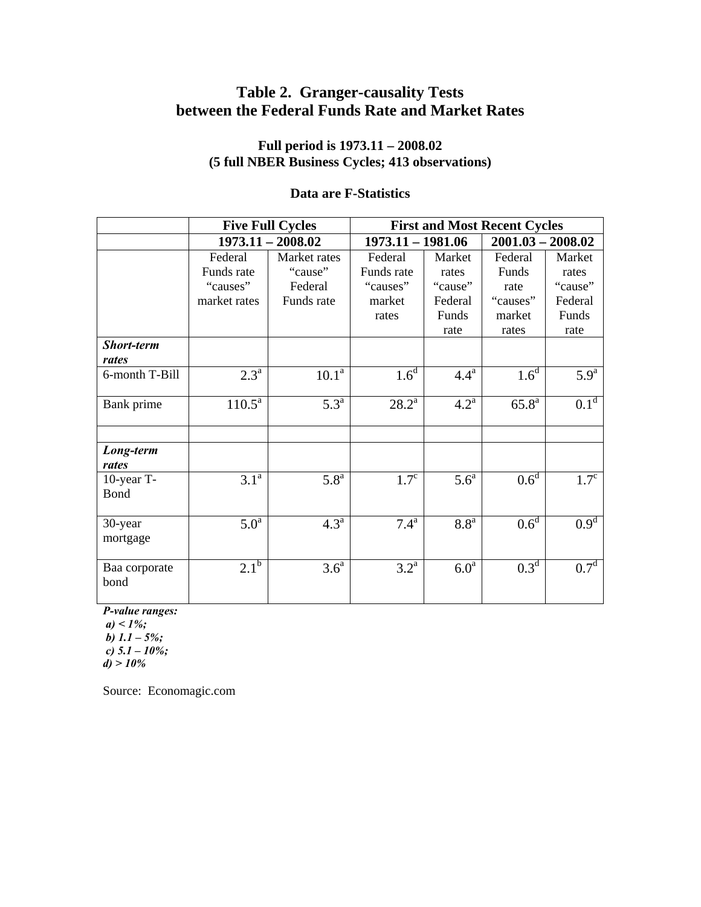# **Table 2. Granger-causality Tests between the Federal Funds Rate and Market Rates**

#### **Full period is 1973.11 – 2008.02 (5 full NBER Business Cycles; 413 observations)**

#### **Data are F-Statistics**

|                           | <b>Five Full Cycles</b> |                     | <b>First and Most Recent Cycles</b> |                    |                     |                  |  |
|---------------------------|-------------------------|---------------------|-------------------------------------|--------------------|---------------------|------------------|--|
|                           |                         | $1973.11 - 2008.02$ | 1973.11 - 1981.06                   |                    | $2001.03 - 2008.02$ |                  |  |
|                           | Federal                 | Market rates        | Federal                             | Market             | Federal             | Market           |  |
|                           | Funds rate              | "cause"             | Funds rate                          | rates              | Funds               | rates            |  |
|                           | "causes"                | Federal             | "causes"                            | "cause"            | rate                | "cause"          |  |
|                           | market rates            | Funds rate          | market                              | Federal            | "causes"            | Federal          |  |
|                           |                         |                     | rates                               | Funds              | market              | Funds            |  |
|                           |                         |                     |                                     | rate               | rates               | rate             |  |
| Short-term                |                         |                     |                                     |                    |                     |                  |  |
| rates                     |                         |                     |                                     |                    |                     |                  |  |
| 6-month T-Bill            | $2.3^{\mathrm{a}}$      | 10.1 <sup>a</sup>   | 1.6 <sup>d</sup>                    | $4.4^{\mathrm{a}}$ | 1.6 <sup>d</sup>    | 5.9 <sup>a</sup> |  |
| Bank prime                | $110.5^{\text{a}}$      | $5.3^{\mathrm{a}}$  | $28.2^{\rm a}$                      | $4.2^{\mathrm{a}}$ | $65.8^{\rm a}$      | 0.1 <sup>d</sup> |  |
| Long-term<br>rates        |                         |                     |                                     |                    |                     |                  |  |
| 10-year T-<br><b>Bond</b> | $3.1^{a}$               | $5.8^{a}$           | $1.7^{\circ}$                       | 5.6 <sup>a</sup>   | $0.6^d$             | $1.7^{\circ}$    |  |
| 30-year<br>mortgage       | 5.0 <sup>a</sup>        | 4.3 <sup>a</sup>    | $7.4^{\rm a}$                       | 8.8 <sup>a</sup>   | 0.6 <sup>d</sup>    | 0.9 <sup>d</sup> |  |
| Baa corporate<br>bond     | $2.1^{b}$               | 3.6 <sup>a</sup>    | $3.2^{\mathrm{a}}$                  | 6.0 <sup>a</sup>   | 0.3 <sup>d</sup>    | 0.7 <sup>d</sup> |  |

*P-value ranges:* 

 $a) < 1\%;$  *b) 1.1 – 5%; c) 5.1 – 10%;* 

*d) > 10%* 

Source: Economagic.com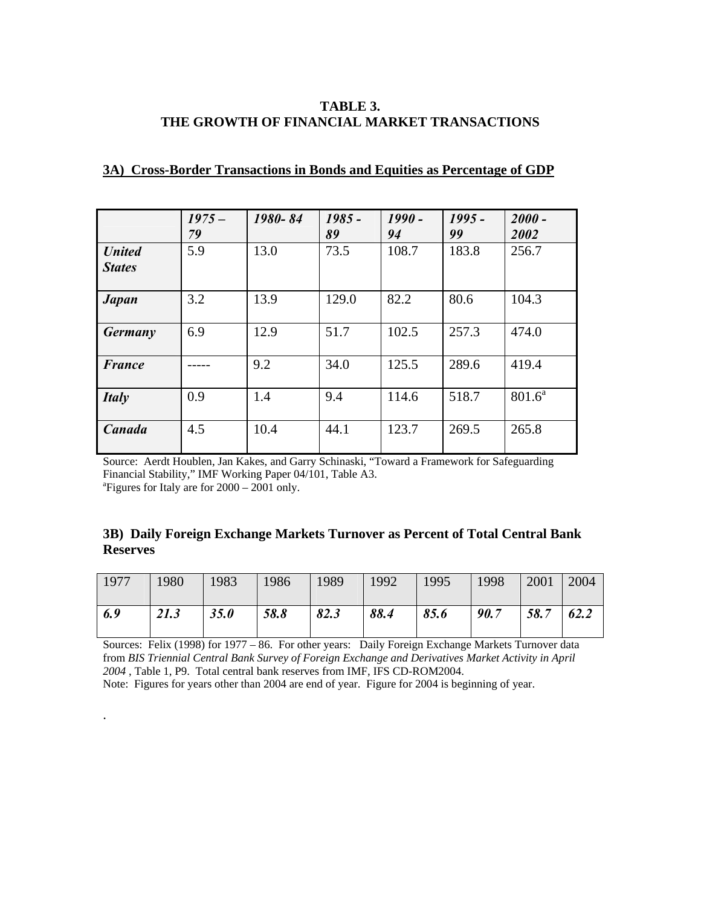#### **TABLE 3. THE GROWTH OF FINANCIAL MARKET TRANSACTIONS**

|                                | $1975 -$<br>79 | 1980-84 | $1985 -$<br>89 | $1990 -$<br>94 | $1995 -$<br>99 | $2000 -$<br>2002 |
|--------------------------------|----------------|---------|----------------|----------------|----------------|------------------|
| <b>United</b><br><b>States</b> | 5.9            | 13.0    | 73.5           | 108.7          | 183.8          | 256.7            |
| <b>Japan</b>                   | 3.2            | 13.9    | 129.0          | 82.2           | 80.6           | 104.3            |
| <b>Germany</b>                 | 6.9            | 12.9    | 51.7           | 102.5          | 257.3          | 474.0            |
| <b>France</b>                  |                | 9.2     | 34.0           | 125.5          | 289.6          | 419.4            |
| <b>Italy</b>                   | 0.9            | 1.4     | 9.4            | 114.6          | 518.7          | $801.6^a$        |
| Canada                         | 4.5            | 10.4    | 44.1           | 123.7          | 269.5          | 265.8            |

#### **3A) Cross-Border Transactions in Bonds and Equities as Percentage of GDP**

Source: Aerdt Houblen, Jan Kakes, and Garry Schinaski, "Toward a Framework for Safeguarding Financial Stability," IMF Working Paper 04/101, Table A3. a Figures for Italy are for 2000 – 2001 only.

#### **3B) Daily Foreign Exchange Markets Turnover as Percent of Total Central Bank Reserves**

| 1977 | 1980 | $ 1983\rangle$ | 1986 | $ 1989\rangle$ | 1992 | $\sqrt{1995}$ | 1998 | 2001 | 2004 |
|------|------|----------------|------|----------------|------|---------------|------|------|------|
| 6.9  | 21.3 | 35.0           | 58.8 | 82.3           | 88.4 | 85.6          | 90.7 | 58.7 | 62.2 |

Sources: Felix (1998) for 1977 – 86. For other years: Daily Foreign Exchange Markets Turnover data from *BIS Triennial Central Bank Survey of Foreign Exchange and Derivatives Market Activity in April 2004* , Table 1, P9. Total central bank reserves from IMF, IFS CD-ROM2004.

Note: Figures for years other than 2004 are end of year. Figure for 2004 is beginning of year.

.